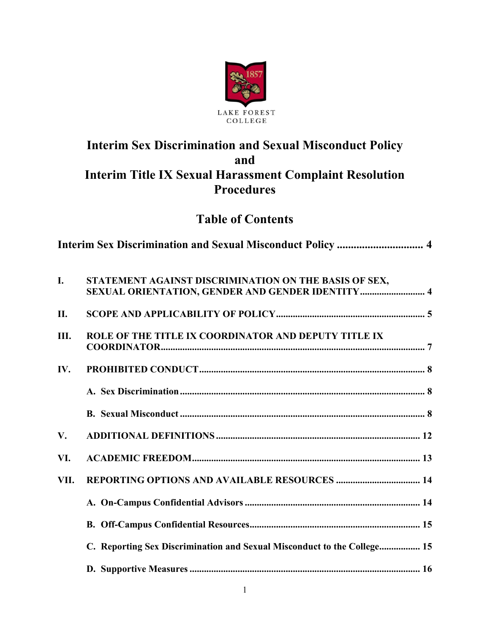

# **Interim Sex Discrimination and Sexual Misconduct Policy and Interim Title IX Sexual Harassment Complaint Resolution Procedures**

# **Table of Contents**

| I.   | STATEMENT AGAINST DISCRIMINATION ON THE BASIS OF SEX,                   |  |
|------|-------------------------------------------------------------------------|--|
| II.  |                                                                         |  |
| Ш.   | ROLE OF THE TITLE IX COORDINATOR AND DEPUTY TITLE IX                    |  |
| IV.  |                                                                         |  |
|      |                                                                         |  |
|      |                                                                         |  |
| V.   |                                                                         |  |
| VI.  |                                                                         |  |
| VII. |                                                                         |  |
|      |                                                                         |  |
|      |                                                                         |  |
|      | C. Reporting Sex Discrimination and Sexual Misconduct to the College 15 |  |
|      |                                                                         |  |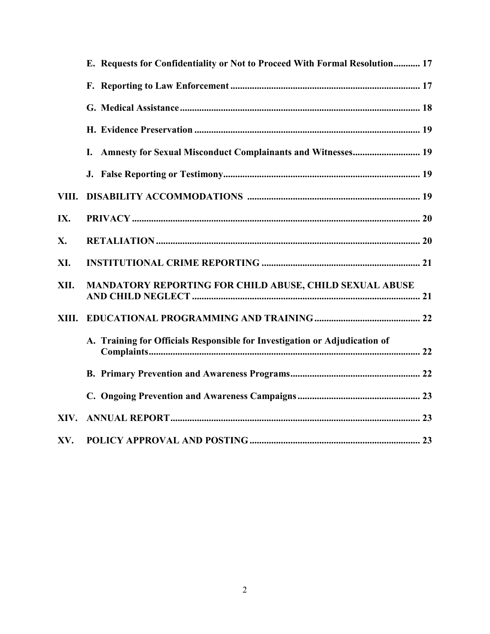|       | E. Requests for Confidentiality or Not to Proceed With Formal Resolution 17 |
|-------|-----------------------------------------------------------------------------|
|       |                                                                             |
|       |                                                                             |
|       |                                                                             |
|       | Amnesty for Sexual Misconduct Complainants and Witnesses 19<br>I.           |
|       |                                                                             |
| VIII. |                                                                             |
| IX.   |                                                                             |
| X.    |                                                                             |
| XI.   |                                                                             |
| XII.  | MANDATORY REPORTING FOR CHILD ABUSE, CHILD SEXUAL ABUSE                     |
| XIII. |                                                                             |
|       | A. Training for Officials Responsible for Investigation or Adjudication of  |
|       |                                                                             |
|       |                                                                             |
| XIV.  |                                                                             |
| XV.   |                                                                             |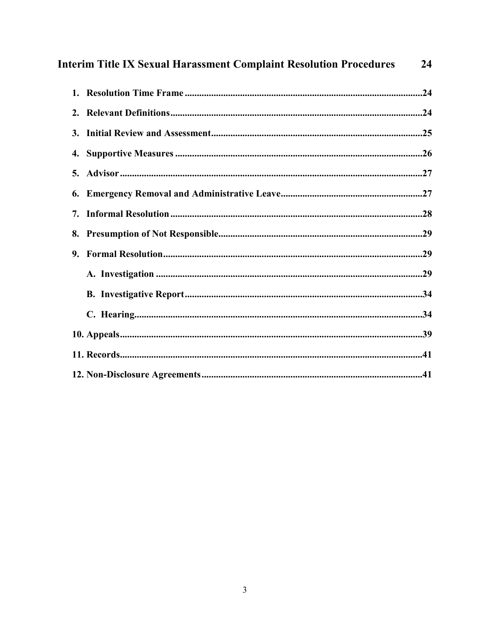| <b>Interim Title IX Sexual Harassment Complaint Resolution Procedures</b> |  |  |
|---------------------------------------------------------------------------|--|--|
|                                                                           |  |  |
|                                                                           |  |  |
|                                                                           |  |  |
|                                                                           |  |  |
|                                                                           |  |  |
| 6.                                                                        |  |  |
| 7.                                                                        |  |  |
|                                                                           |  |  |
| 9.                                                                        |  |  |
|                                                                           |  |  |
|                                                                           |  |  |
|                                                                           |  |  |
|                                                                           |  |  |
|                                                                           |  |  |
|                                                                           |  |  |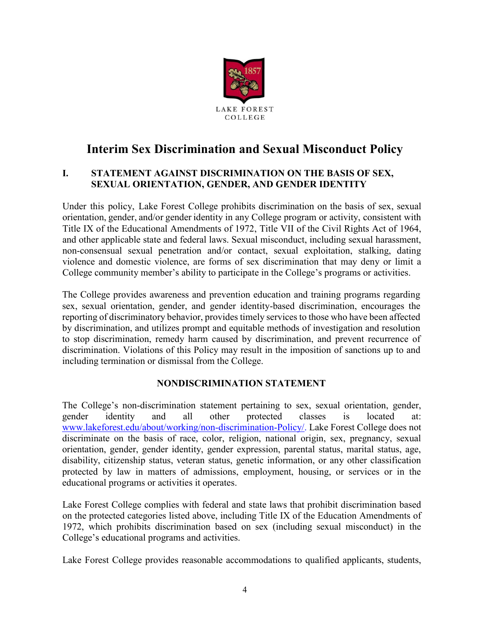

# **Interim Sex Discrimination and Sexual Misconduct Policy**

### **I. STATEMENT AGAINST DISCRIMINATION ON THE BASIS OF SEX, SEXUAL ORIENTATION, GENDER, AND GENDER IDENTITY**

Under this policy, Lake Forest College prohibits discrimination on the basis of sex, sexual orientation, gender, and/or gender identity in any College program or activity, consistent with Title IX of the Educational Amendments of 1972, Title VII of the Civil Rights Act of 1964, and other applicable state and federal laws. Sexual misconduct, including sexual harassment, non-consensual sexual penetration and/or contact, sexual exploitation, stalking, dating violence and domestic violence, are forms of sex discrimination that may deny or limit a College community member's ability to participate in the College's programs or activities.

The College provides awareness and prevention education and training programs regarding sex, sexual orientation, gender, and gender identity-based discrimination, encourages the reporting of discriminatory behavior, provides timely services to those who have been affected by discrimination, and utilizes prompt and equitable methods of investigation and resolution to stop discrimination, remedy harm caused by discrimination, and prevent recurrence of discrimination. Violations of this Policy may result in the imposition of sanctions up to and including termination or dismissal from the College.

# **NONDISCRIMINATION STATEMENT**

The College's non-discrimination statement pertaining to sex, sexual orientation, gender, gender identity and all other protected classes is located at: [www.lakeforest.edu/about/working/non-discrimination-Policy/.](http://www.lakeforest.edu/about/working/non-discrimination-Policy/) Lake Forest College does not discriminate on the basis of race, color, religion, national origin, sex, pregnancy, sexual orientation, gender, gender identity, gender expression, parental status, marital status, age, disability, citizenship status, veteran status, genetic information, or any other classification protected by law in matters of admissions, employment, housing, or services or in the educational programs or activities it operates.

Lake Forest College complies with federal and state laws that prohibit discrimination based on the protected categories listed above, including Title IX of the Education Amendments of 1972, which prohibits discrimination based on sex (including sexual misconduct) in the College's educational programs and activities.

Lake Forest College provides reasonable accommodations to qualified applicants, students,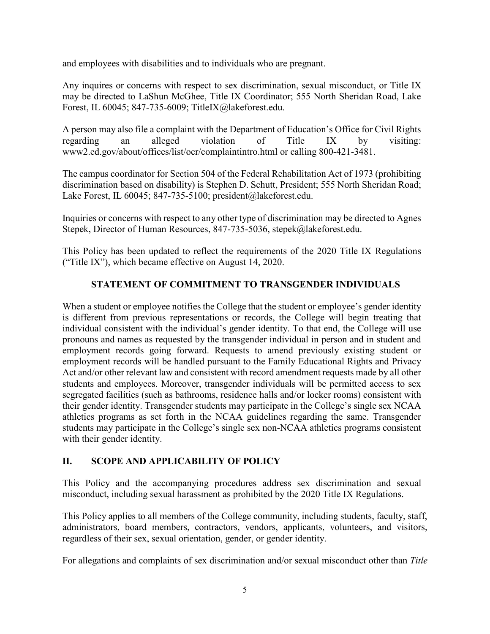and employees with disabilities and to individuals who are pregnant.

Any inquires or concerns with respect to sex discrimination, sexual misconduct, or Title IX may be directed to LaShun McGhee, Title IX Coordinator; 555 North Sheridan Road, Lake Forest, IL 60045; 847-735-6009; TitleIX@lakeforest.edu.

A person may also file a complaint with the Department of Education's Office for Civil Rights regarding an alleged violation of Title IX by visiting: www2.ed.gov/about/offices/list/ocr/complaintintro.html or calling 800-421-3481.

The campus coordinator for Section 504 of the Federal Rehabilitation Act of 1973 (prohibiting discrimination based on disability) is Stephen D. Schutt, President; 555 North Sheridan Road; Lake Forest, IL 60045; 847-735-5100; president@lakeforest.edu.

Inquiries or concerns with respect to any other type of discrimination may be directed to Agnes Stepek, Director of Human Resources, 847-735-5036, stepek@lakeforest.edu.

This Policy has been updated to reflect the requirements of the 2020 Title IX Regulations ("Title IX"), which became effective on August 14, 2020.

# **STATEMENT OF COMMITMENT TO TRANSGENDER INDIVIDUALS**

When a student or employee notifies the College that the student or employee's gender identity is different from previous representations or records, the College will begin treating that individual consistent with the individual's gender identity. To that end, the College will use pronouns and names as requested by the transgender individual in person and in student and employment records going forward. Requests to amend previously existing student or employment records will be handled pursuant to the Family Educational Rights and Privacy Act and/or other relevant law and consistent with record amendment requests made by all other students and employees. Moreover, transgender individuals will be permitted access to sex segregated facilities (such as bathrooms, residence halls and/or locker rooms) consistent with their gender identity. Transgender students may participate in the College's single sex NCAA athletics programs as set forth in the NCAA guidelines regarding the same. Transgender students may participate in the College's single sex non-NCAA athletics programs consistent with their gender identity.

# **II. SCOPE AND APPLICABILITY OF POLICY**

This Policy and the accompanying procedures address sex discrimination and sexual misconduct, including sexual harassment as prohibited by the 2020 Title IX Regulations.

This Policy applies to all members of the College community, including students, faculty, staff, administrators, board members, contractors, vendors, applicants, volunteers, and visitors, regardless of their sex, sexual orientation, gender, or gender identity.

For allegations and complaints of sex discrimination and/or sexual misconduct other than *Title*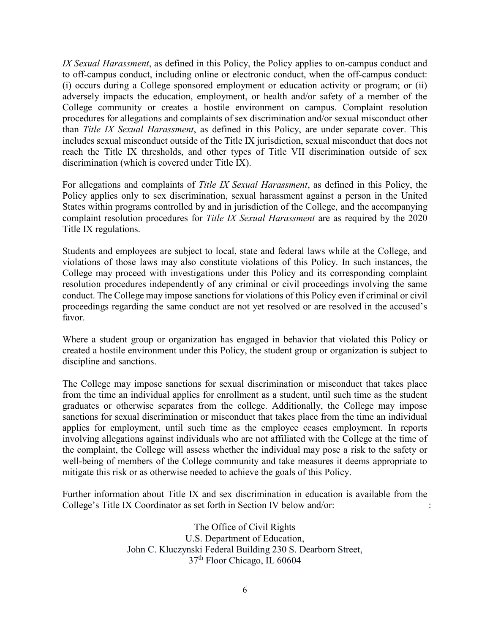*IX Sexual Harassment*, as defined in this Policy, the Policy applies to on-campus conduct and to off-campus conduct, including online or electronic conduct, when the off-campus conduct: (i) occurs during a College sponsored employment or education activity or program; or (ii) adversely impacts the education, employment, or health and/or safety of a member of the College community or creates a hostile environment on campus. Complaint resolution procedures for allegations and complaints of sex discrimination and/or sexual misconduct other than *Title IX Sexual Harassment*, as defined in this Policy, are under separate cover. This includes sexual misconduct outside of the Title IX jurisdiction, sexual misconduct that does not reach the Title IX thresholds, and other types of Title VII discrimination outside of sex discrimination (which is covered under Title IX).

For allegations and complaints of *Title IX Sexual Harassment*, as defined in this Policy, the Policy applies only to sex discrimination, sexual harassment against a person in the United States within programs controlled by and in jurisdiction of the College, and the accompanying complaint resolution procedures for *Title IX Sexual Harassment* are as required by the 2020 Title IX regulations.

Students and employees are subject to local, state and federal laws while at the College, and violations of those laws may also constitute violations of this Policy. In such instances, the College may proceed with investigations under this Policy and its corresponding complaint resolution procedures independently of any criminal or civil proceedings involving the same conduct. The College may impose sanctions for violations of this Policy even if criminal or civil proceedings regarding the same conduct are not yet resolved or are resolved in the accused's favor.

Where a student group or organization has engaged in behavior that violated this Policy or created a hostile environment under this Policy, the student group or organization is subject to discipline and sanctions.

The College may impose sanctions for sexual discrimination or misconduct that takes place from the time an individual applies for enrollment as a student, until such time as the student graduates or otherwise separates from the college. Additionally, the College may impose sanctions for sexual discrimination or misconduct that takes place from the time an individual applies for employment, until such time as the employee ceases employment. In reports involving allegations against individuals who are not affiliated with the College at the time of the complaint, the College will assess whether the individual may pose a risk to the safety or well-being of members of the College community and take measures it deems appropriate to mitigate this risk or as otherwise needed to achieve the goals of this Policy.

Further information about Title IX and sex discrimination in education is available from the College's Title IX Coordinator as set forth in Section IV below and/or: :

> The Office of Civil Rights U.S. Department of Education, John C. Kluczynski Federal Building 230 S. Dearborn Street, 37th Floor Chicago, IL 60604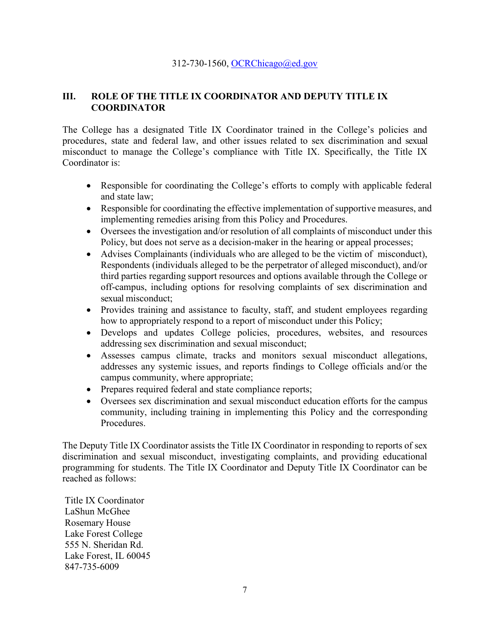#### 312-730-1560, [OCRChicago@ed.gov](mailto:OCRChicago@ed.gov)

# **III. ROLE OF THE TITLE IX COORDINATOR AND DEPUTY TITLE IX COORDINATOR**

The College has a designated Title IX Coordinator trained in the College's policies and procedures, state and federal law, and other issues related to sex discrimination and sexual misconduct to manage the College's compliance with Title IX. Specifically, the Title IX Coordinator is:

- Responsible for coordinating the College's efforts to comply with applicable federal and state law;
- Responsible for coordinating the effective implementation of supportive measures, and implementing remedies arising from this Policy and Procedures.
- Oversees the investigation and/or resolution of all complaints of misconduct under this Policy, but does not serve as a decision-maker in the hearing or appeal processes;
- Advises Complainants (individuals who are alleged to be the victim of misconduct), Respondents (individuals alleged to be the perpetrator of alleged misconduct), and/or third parties regarding support resources and options available through the College or off-campus, including options for resolving complaints of sex discrimination and sexual misconduct;
- Provides training and assistance to faculty, staff, and student employees regarding how to appropriately respond to a report of misconduct under this Policy;
- x Develops and updates College policies, procedures, websites, and resources addressing sex discrimination and sexual misconduct;
- x Assesses campus climate, tracks and monitors sexual misconduct allegations, addresses any systemic issues, and reports findings to College officials and/or the campus community, where appropriate;
- Prepares required federal and state compliance reports;
- Oversees sex discrimination and sexual misconduct education efforts for the campus community, including training in implementing this Policy and the corresponding Procedures.

The Deputy Title IX Coordinator assists the Title IX Coordinator in responding to reports of sex discrimination and sexual misconduct, investigating complaints, and providing educational programming for students. The Title IX Coordinator and Deputy Title IX Coordinator can be reached as follows:

Title IX Coordinator LaShun McGhee Rosemary House Lake Forest College 555 N. Sheridan Rd. Lake Forest, IL 60045 847-735-6009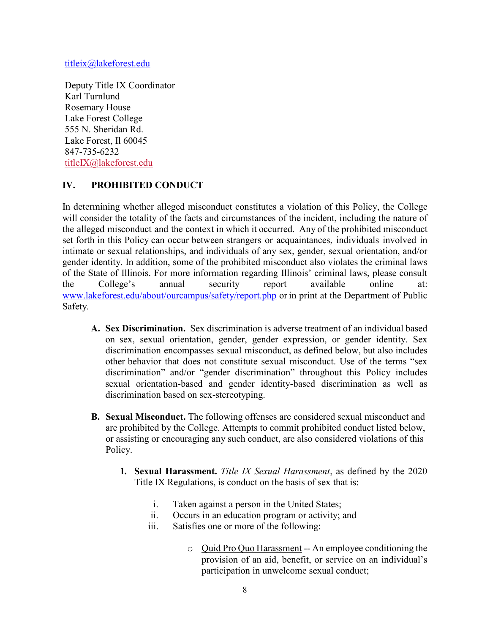[titleix@lakeforest.edu](mailto:titleix@lakeforest.edu)

Deputy Title IX Coordinator Karl Turnlund Rosemary House Lake Forest College 555 N. Sheridan Rd. Lake Forest, Il 60045 847-735-6232 [titleIX@lakeforest.edu](mailto:TitleIX@lakeforest.edu)

# **IV. PROHIBITED CONDUCT**

In determining whether alleged misconduct constitutes a violation of this Policy, the College will consider the totality of the facts and circumstances of the incident, including the nature of the alleged misconduct and the context in which it occurred. Any of the prohibited misconduct set forth in this Policy can occur between strangers or acquaintances, individuals involved in intimate or sexual relationships, and individuals of any sex, gender, sexual orientation, and/or gender identity. In addition, some of the prohibited misconduct also violates the criminal laws of the State of Illinois. For more information regarding Illinois' criminal laws, please consult the College's annual security report available online at: [www.lakeforest.edu/about/ourcampus/safety/report.php](http://www.lakeforest.edu/about/ourcampus/safety/report.php) or in print at the Department of Public Safety*.*

- **A. Sex Discrimination.** Sex discrimination is adverse treatment of an individual based on sex, sexual orientation, gender, gender expression, or gender identity. Sex discrimination encompasses sexual misconduct, as defined below, but also includes other behavior that does not constitute sexual misconduct. Use of the terms "sex discrimination" and/or "gender discrimination" throughout this Policy includes sexual orientation-based and gender identity-based discrimination as well as discrimination based on sex-stereotyping.
- **B. Sexual Misconduct.** The following offenses are considered sexual misconduct and are prohibited by the College. Attempts to commit prohibited conduct listed below, or assisting or encouraging any such conduct, are also considered violations of this Policy.
	- **1. Sexual Harassment.** *Title IX Sexual Harassment*, as defined by the 2020 Title IX Regulations, is conduct on the basis of sex that is:
		- i. Taken against a person in the United States;
		- ii. Occurs in an education program or activity; and
		- iii. Satisfies one or more of the following:
			- o Quid Pro Quo Harassment -- An employee conditioning the provision of an aid, benefit, or service on an individual's participation in unwelcome sexual conduct;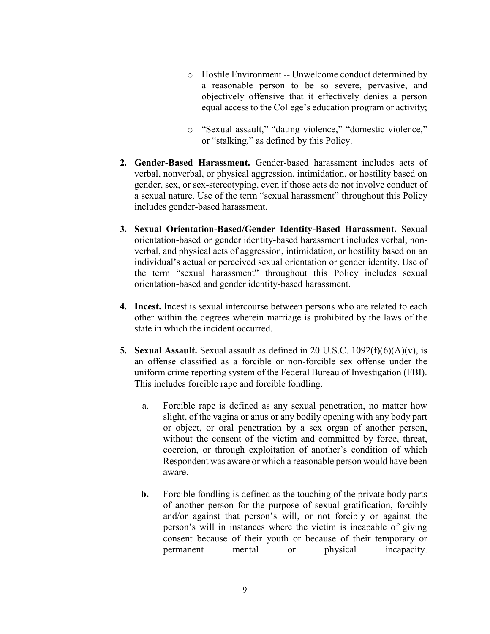- o Hostile Environment -- Unwelcome conduct determined by a reasonable person to be so severe, pervasive, and objectively offensive that it effectively denies a person equal access to the College's education program or activity;
- o "Sexual assault," "dating violence," "domestic violence," or "stalking," as defined by this Policy.
- **2. Gender-Based Harassment.** Gender-based harassment includes acts of verbal, nonverbal, or physical aggression, intimidation, or hostility based on gender, sex, or sex-stereotyping, even if those acts do not involve conduct of a sexual nature. Use of the term "sexual harassment" throughout this Policy includes gender-based harassment.
- **3. Sexual Orientation-Based/Gender Identity-Based Harassment.** Sexual orientation-based or gender identity-based harassment includes verbal, nonverbal, and physical acts of aggression, intimidation, or hostility based on an individual's actual or perceived sexual orientation or gender identity. Use of the term "sexual harassment" throughout this Policy includes sexual orientation-based and gender identity-based harassment.
- **4. Incest.** Incest is sexual intercourse between persons who are related to each other within the degrees wherein marriage is prohibited by the laws of the state in which the incident occurred.
- **5. Sexual Assault.** Sexual assault as defined in 20 U.S.C. 1092(f)(6)(A)(v), is an offense classified as a forcible or non-forcible sex offense under the uniform crime reporting system of the Federal Bureau of Investigation (FBI). This includes forcible rape and forcible fondling.
	- a. Forcible rape is defined as any sexual penetration, no matter how slight, of the vagina or anus or any bodily opening with any body part or object, or oral penetration by a sex organ of another person, without the consent of the victim and committed by force, threat, coercion, or through exploitation of another's condition of which Respondent was aware or which a reasonable person would have been aware.
	- **b.** Forcible fondling is defined as the touching of the private body parts of another person for the purpose of sexual gratification, forcibly and/or against that person's will, or not forcibly or against the person's will in instances where the victim is incapable of giving consent because of their youth or because of their temporary or permanent mental or physical incapacity.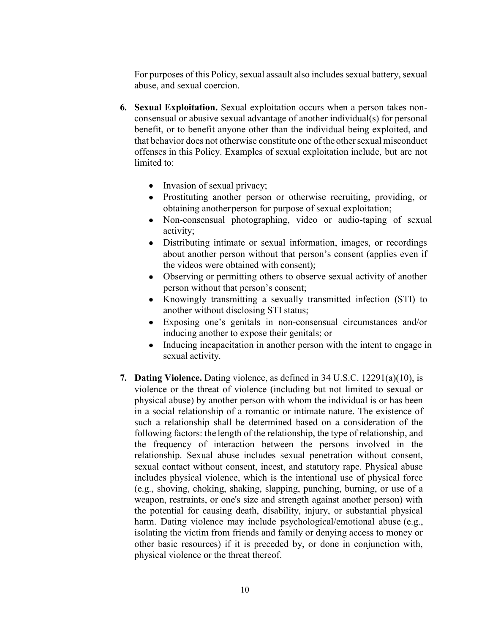For purposes of this Policy, sexual assault also includes sexual battery, sexual abuse, and sexual coercion.

- **6. Sexual Exploitation.** Sexual exploitation occurs when a person takes nonconsensual or abusive sexual advantage of another individual(s) for personal benefit, or to benefit anyone other than the individual being exploited, and that behavior does not otherwise constitute one of the other sexual misconduct offenses in this Policy. Examples of sexual exploitation include, but are not limited to:
	- $\bullet$  Invasion of sexual privacy;
	- x Prostituting another person or otherwise recruiting, providing, or obtaining anotherperson for purpose of sexual exploitation;
	- Non-consensual photographing, video or audio-taping of sexual activity;
	- Distributing intimate or sexual information, images, or recordings about another person without that person's consent (applies even if the videos were obtained with consent);
	- Observing or permitting others to observe sexual activity of another person without that person's consent;
	- Knowingly transmitting a sexually transmitted infection (STI) to another without disclosing STI status;
	- Exposing one's genitals in non-consensual circumstances and/or inducing another to expose their genitals; or
	- Inducing incapacitation in another person with the intent to engage in sexual activity.
- **7. Dating Violence.** Dating violence, as defined in 34 U.S.C. 12291(a)(10), is violence or the threat of violence (including but not limited to sexual or physical abuse) by another person with whom the individual is or has been in a social relationship of a romantic or intimate nature. The existence of such a relationship shall be determined based on a consideration of the following factors: the length of the relationship, the type of relationship, and the frequency of interaction between the persons involved in the relationship. Sexual abuse includes sexual penetration without consent, sexual contact without consent, incest, and statutory rape. Physical abuse includes physical violence, which is the intentional use of physical force (e.g., shoving, choking, shaking, slapping, punching, burning, or use of a weapon, restraints, or one's size and strength against another person) with the potential for causing death, disability, injury, or substantial physical harm. Dating violence may include psychological/emotional abuse (e.g., isolating the victim from friends and family or denying access to money or other basic resources) if it is preceded by, or done in conjunction with, physical violence or the threat thereof.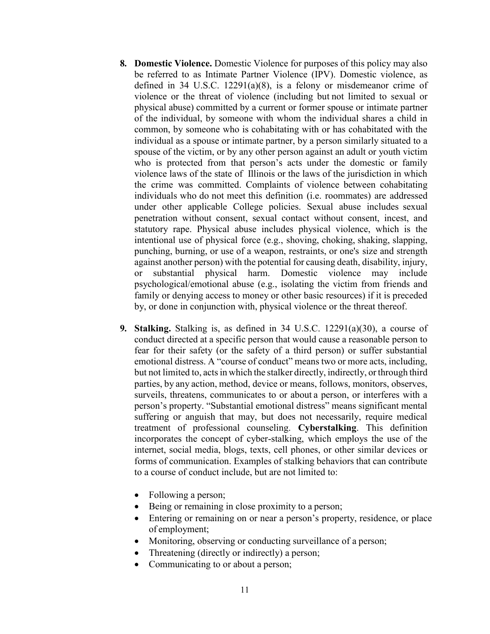- **8. Domestic Violence.** Domestic Violence for purposes of this policy may also be referred to as Intimate Partner Violence (IPV). Domestic violence, as defined in 34 U.S.C.  $12291(a)(8)$ , is a felony or misdemeanor crime of violence or the threat of violence (including but not limited to sexual or physical abuse) committed by a current or former spouse or intimate partner of the individual, by someone with whom the individual shares a child in common, by someone who is cohabitating with or has cohabitated with the individual as a spouse or intimate partner, by a person similarly situated to a spouse of the victim, or by any other person against an adult or youth victim who is protected from that person's acts under the domestic or family violence laws of the state of Illinois or the laws of the jurisdiction in which the crime was committed. Complaints of violence between cohabitating individuals who do not meet this definition (i.e. roommates) are addressed under other applicable College policies. Sexual abuse includes sexual penetration without consent, sexual contact without consent, incest, and statutory rape. Physical abuse includes physical violence, which is the intentional use of physical force (e.g., shoving, choking, shaking, slapping, punching, burning, or use of a weapon, restraints, or one's size and strength against another person) with the potential for causing death, disability, injury, or substantial physical harm. Domestic violence may include psychological/emotional abuse (e.g., isolating the victim from friends and family or denying access to money or other basic resources) if it is preceded by, or done in conjunction with, physical violence or the threat thereof.
- **9. Stalking.** Stalking is, as defined in 34 U.S.C. 12291(a)(30), a course of conduct directed at a specific person that would cause a reasonable person to fear for their safety (or the safety of a third person) or suffer substantial emotional distress. A "course of conduct" means two or more acts, including, but not limited to, actsin which the stalker directly, indirectly, or through third parties, by any action, method, device or means, follows, monitors, observes, surveils, threatens, communicates to or about a person, or interferes with a person's property. "Substantial emotional distress" means significant mental suffering or anguish that may, but does not necessarily, require medical treatment of professional counseling. **Cyberstalking**. This definition incorporates the concept of cyber-stalking, which employs the use of the internet, social media, blogs, texts, cell phones, or other similar devices or forms of communication. Examples of stalking behaviors that can contribute to a course of conduct include, but are not limited to:
	- $\bullet$  Following a person;
	- $\bullet$  Being or remaining in close proximity to a person;
	- Entering or remaining on or near a person's property, residence, or place of employment;
	- Monitoring, observing or conducting surveillance of a person;
	- Threatening (directly or indirectly) a person;
	- Communicating to or about a person;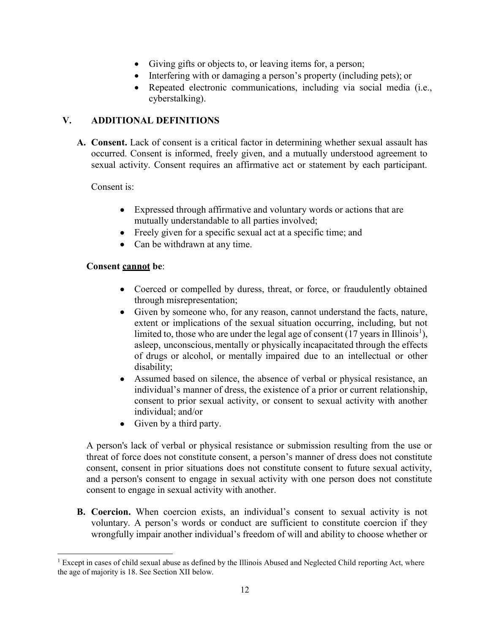- Giving gifts or objects to, or leaving items for, a person;
- $\bullet$  Interfering with or damaging a person's property (including pets); or
- Repeated electronic communications, including via social media (i.e., cyberstalking).

# **V. ADDITIONAL DEFINITIONS**

**A. Consent.** Lack of consent is a critical factor in determining whether sexual assault has occurred. Consent is informed, freely given, and a mutually understood agreement to sexual activity. Consent requires an affirmative act or statement by each participant.

Consent is:

- Expressed through affirmative and voluntary words or actions that are mutually understandable to all parties involved;
- $\bullet$  Freely given for a specific sexual act at a specific time; and
- $\bullet$  Can be withdrawn at any time.

# **Consent cannot be**:

- Coerced or compelled by duress, threat, or force, or fraudulently obtained through misrepresentation;
- Given by someone who, for any reason, cannot understand the facts, nature, extent or implications of the sexual situation occurring, including, but not limited to, those who are under the legal age of consent  $(17 \text{ years in Illinois}^1)$ , asleep, unconscious, mentally or physically incapacitated through the effects of drugs or alcohol, or mentally impaired due to an intellectual or other disability;
- Assumed based on silence, the absence of verbal or physical resistance, an individual's manner of dress, the existence of a prior or current relationship, consent to prior sexual activity, or consent to sexual activity with another individual; and/or
- $\bullet$  Given by a third party.

A person's lack of verbal or physical resistance or submission resulting from the use or threat of force does not constitute consent, a person's manner of dress does not constitute consent, consent in prior situations does not constitute consent to future sexual activity, and a person's consent to engage in sexual activity with one person does not constitute consent to engage in sexual activity with another.

**B. Coercion.** When coercion exists, an individual's consent to sexual activity is not voluntary. A person's words or conduct are sufficient to constitute coercion if they wrongfully impair another individual's freedom of will and ability to choose whether or

<sup>&</sup>lt;sup>1</sup> Except in cases of child sexual abuse as defined by the Illinois Abused and Neglected Child reporting Act, where the age of majority is 18. See Section XII below.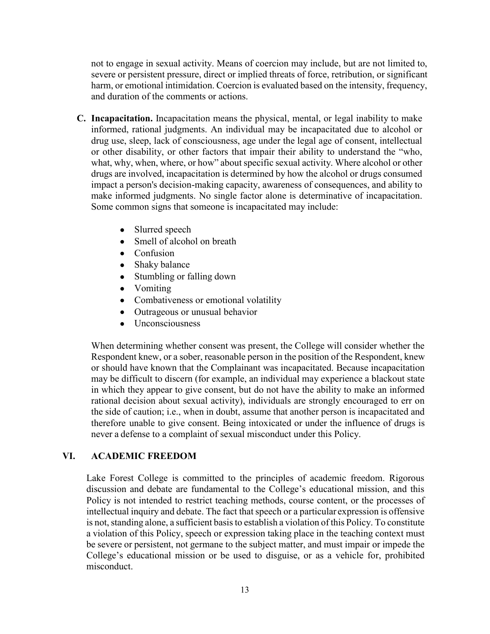not to engage in sexual activity. Means of coercion may include, but are not limited to, severe or persistent pressure, direct or implied threats of force, retribution, or significant harm, or emotional intimidation. Coercion is evaluated based on the intensity, frequency, and duration of the comments or actions.

- **C. Incapacitation.** Incapacitation means the physical, mental, or legal inability to make informed, rational judgments. An individual may be incapacitated due to alcohol or drug use, sleep, lack of consciousness, age under the legal age of consent, intellectual or other disability, or other factors that impair their ability to understand the "who, what, why, when, where, or how" about specific sexual activity. Where alcohol or other drugs are involved, incapacitation is determined by how the alcohol or drugs consumed impact a person's decision-making capacity, awareness of consequences, and ability to make informed judgments. No single factor alone is determinative of incapacitation. Some common signs that someone is incapacitated may include:
	- $\bullet$  Slurred speech
	- $\bullet$  Smell of alcohol on breath
	- $\bullet$  Confusion
	- $\bullet$  Shaky balance
	- Stumbling or falling down
	- Vomiting
	- Combativeness or emotional volatility
	- Outrageous or unusual behavior
	- $\bullet$  Unconsciousness

When determining whether consent was present, the College will consider whether the Respondent knew, or a sober, reasonable person in the position of the Respondent, knew or should have known that the Complainant was incapacitated. Because incapacitation may be difficult to discern (for example, an individual may experience a blackout state in which they appear to give consent, but do not have the ability to make an informed rational decision about sexual activity), individuals are strongly encouraged to err on the side of caution; i.e., when in doubt, assume that another person is incapacitated and therefore unable to give consent. Being intoxicated or under the influence of drugs is never a defense to a complaint of sexual misconduct under this Policy.

### **VI. ACADEMIC FREEDOM**

Lake Forest College is committed to the principles of academic freedom. Rigorous discussion and debate are fundamental to the College's educational mission, and this Policy is not intended to restrict teaching methods, course content, or the processes of intellectual inquiry and debate. The fact that speech or a particular expression is offensive is not, standing alone, a sufficient basis to establish a violation of this Policy. To constitute a violation of this Policy, speech or expression taking place in the teaching context must be severe or persistent, not germane to the subject matter, and must impair or impede the College's educational mission or be used to disguise, or as a vehicle for, prohibited misconduct.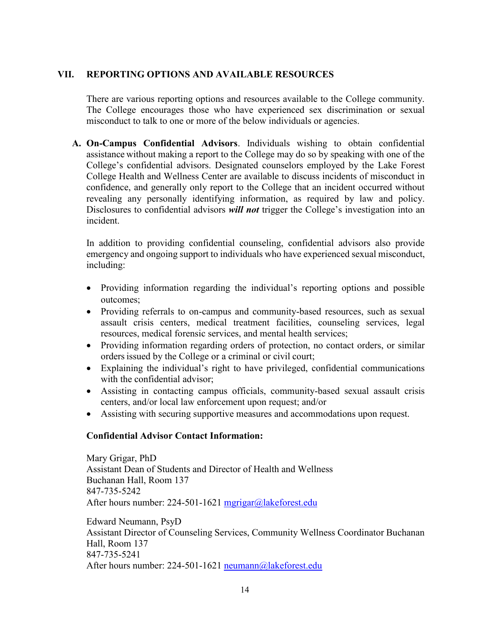### **VII. REPORTING OPTIONS AND AVAILABLE RESOURCES**

There are various reporting options and resources available to the College community. The College encourages those who have experienced sex discrimination or sexual misconduct to talk to one or more of the below individuals or agencies.

**A. On-Campus Confidential Advisors**. Individuals wishing to obtain confidential assistance without making a report to the College may do so by speaking with one of the College's confidential advisors. Designated counselors employed by the Lake Forest College Health and Wellness Center are available to discuss incidents of misconduct in confidence, and generally only report to the College that an incident occurred without revealing any personally identifying information, as required by law and policy. Disclosures to confidential advisors *will not* trigger the College's investigation into an incident.

In addition to providing confidential counseling, confidential advisors also provide emergency and ongoing support to individuals who have experienced sexual misconduct, including:

- Providing information regarding the individual's reporting options and possible outcomes;
- Providing referrals to on-campus and community-based resources, such as sexual assault crisis centers, medical treatment facilities, counseling services, legal resources, medical forensic services, and mental health services;
- Providing information regarding orders of protection, no contact orders, or similar ordersissued by the College or a criminal or civil court;
- Explaining the individual's right to have privileged, confidential communications with the confidential advisor;
- x Assisting in contacting campus officials, community-based sexual assault crisis centers, and/or local law enforcement upon request; and/or
- Assisting with securing supportive measures and accommodations upon request.

### **Confidential Advisor Contact Information:**

Mary Grigar, PhD Assistant Dean of Students and Director of Health and Wellness Buchanan Hall, Room 137 847-735-5242 After hours number: 224-501-1621 [mgrigar@lakeforest.edu](mailto:mgrigar@lakeforest.edu)

Edward Neumann, PsyD Assistant Director of Counseling Services, Community Wellness Coordinator Buchanan Hall, Room 137 847-735-5241 After hours number: 224-501-1621 [neumann@lakeforest.edu](mailto:neumann@lakeforest.edu)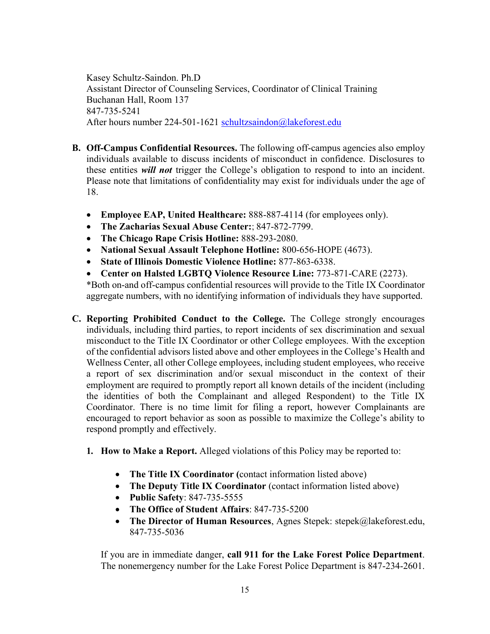Kasey Schultz-Saindon. Ph.D Assistant Director of Counseling Services, Coordinator of Clinical Training Buchanan Hall, Room 137 847-735-5241 After hours number 224-501-1621 [schultzsaindon@lakeforest.edu](mailto:schultzsaindon@lakeforest.edu)

- **B. Off-Campus Confidential Resources.** The following off-campus agencies also employ individuals available to discuss incidents of misconduct in confidence. Disclosures to these entities *will not* trigger the College's obligation to respond to into an incident. Please note that limitations of confidentiality may exist for individuals under the age of 18.
	- **Employee EAP, United Healthcare: 888-887-4114 (for employees only).**
	- x **The Zacharias Sexual Abuse Center:**; 847-872-7799.
	- x **The Chicago Rape Crisis Hotline:** 888-293-2080.
	- x **National Sexual Assault Telephone Hotline:** 800-656-HOPE (4673).
	- x **State of Illinois Domestic Violence Hotline:** 877-863-6338.
	- x **Center on Halsted LGBTQ Violence Resource Line:** 773-871-CARE (2273).

\*Both on-and off-campus confidential resources will provide to the Title IX Coordinator aggregate numbers, with no identifying information of individuals they have supported.

- **C. Reporting Prohibited Conduct to the College.** The College strongly encourages individuals, including third parties, to report incidents of sex discrimination and sexual misconduct to the Title IX Coordinator or other College employees. With the exception of the confidential advisors listed above and other employees in the College's Health and Wellness Center, all other College employees, including student employees, who receive a report of sex discrimination and/or sexual misconduct in the context of their employment are required to promptly report all known details of the incident (including the identities of both the Complainant and alleged Respondent) to the Title IX Coordinator. There is no time limit for filing a report, however Complainants are encouraged to report behavior as soon as possible to maximize the College's ability to respond promptly and effectively.
	- **1. How to Make a Report.** Alleged violations of this Policy may be reported to:
		- The Title IX Coordinator (contact information listed above)
		- The Deputy Title IX Coordinator (contact information listed above)
		- **Public Safety**: 847-735-5555
		- x **The Office of Student Affairs**: 847-735-5200
		- The Director of Human Resources, Agnes Stepek: [stepek@lakeforest.edu,](mailto:stepek@lakeforest.edu) 847-735-5036

If you are in immediate danger, **call 911 for the Lake Forest Police Department**. The nonemergency number for the Lake Forest Police Department is 847-234-2601.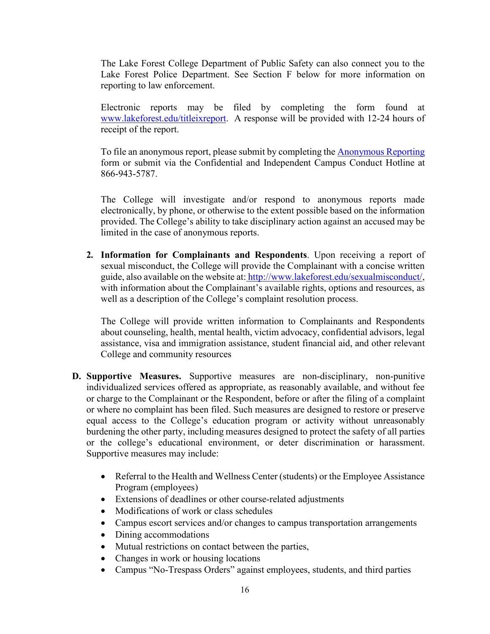The Lake Forest College Department of Public Safety can also connect you to the Lake Forest Police Department. See Section F below for more information on reporting to law enforcement.

Electronic reports may be filed by completing the form found at [www.lakeforest.edu/titleixreport.](http://www.lakeforest.edu/titleixreport) A response will be provided with 12-24 hours of receipt of the report.

To file an anonymous report, please submit by completing the [Anonymous Reporting](https://www.lighthouse-services.com/_StandardCustomURL/LHILandingPage.asp) form or submit via the Confidential and Independent Campus Conduct Hotline at 866-943-5787.

The College will investigate and/or respond to anonymous reports made electronically, by phone, or otherwise to the extent possible based on the information provided. The College's ability to take disciplinary action against an accused may be limited in the case of anonymous reports.

**2. Information for Complainants and Respondents**. Upon receiving a report of sexual misconduct, the College will provide the Complainant with a concise written guide, also available on the website at: [http://www.lakeforest.edu/sexualmisconduct/,](http://www.lakeforest.edu/sexualmisconduct/) with information about the Complainant's available rights, options and resources, as well as a description of the College's complaint resolution process.

The College will provide written information to Complainants and Respondents about counseling, health, mental health, victim advocacy, confidential advisors, legal assistance, visa and immigration assistance, student financial aid, and other relevant College and community resources

- **D. Supportive Measures.** Supportive measures are non-disciplinary, non-punitive individualized services offered as appropriate, as reasonably available, and without fee or charge to the Complainant or the Respondent, before or after the filing of a complaint or where no complaint has been filed. Such measures are designed to restore or preserve equal access to the College's education program or activity without unreasonably burdening the other party, including measures designed to protect the safety of all parties or the college's educational environment, or deter discrimination or harassment. Supportive measures may include:
	- Referral to the Health and Wellness Center (students) or the Employee Assistance Program (employees)
	- Extensions of deadlines or other course-related adjustments
	- Modifications of work or class schedules
	- Campus escort services and/or changes to campus transportation arrangements
	- $\bullet$  Dining accommodations
	- Mutual restrictions on contact between the parties,
	- Changes in work or housing locations
	- Campus "No-Trespass Orders" against employees, students, and third parties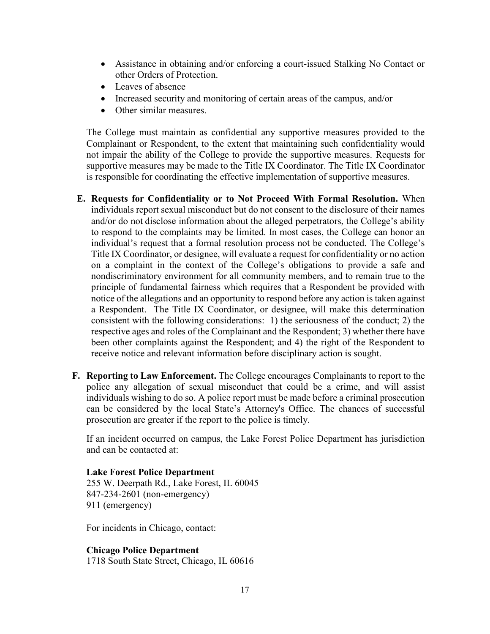- Assistance in obtaining and/or enforcing a court-issued Stalking No Contact or other Orders of Protection.
- Leaves of absence
- Increased security and monitoring of certain areas of the campus, and/or
- Other similar measures.

The College must maintain as confidential any supportive measures provided to the Complainant or Respondent, to the extent that maintaining such confidentiality would not impair the ability of the College to provide the supportive measures. Requests for supportive measures may be made to the Title IX Coordinator. The Title IX Coordinator is responsible for coordinating the effective implementation of supportive measures.

- **E. Requests for Confidentiality or to Not Proceed With Formal Resolution.** When individuals report sexual misconduct but do not consent to the disclosure of their names and/or do not disclose information about the alleged perpetrators, the College's ability to respond to the complaints may be limited. In most cases, the College can honor an individual's request that a formal resolution process not be conducted. The College's Title IX Coordinator, or designee, will evaluate a request for confidentiality or no action on a complaint in the context of the College's obligations to provide a safe and nondiscriminatory environment for all community members, and to remain true to the principle of fundamental fairness which requires that a Respondent be provided with notice of the allegations and an opportunity to respond before any action is taken against a Respondent. The Title IX Coordinator, or designee, will make this determination consistent with the following considerations: 1) the seriousness of the conduct; 2) the respective ages and roles of the Complainant and the Respondent; 3) whether there have been other complaints against the Respondent; and 4) the right of the Respondent to receive notice and relevant information before disciplinary action is sought.
- **F. Reporting to Law Enforcement.** The College encourages Complainants to report to the police any allegation of sexual misconduct that could be a crime, and will assist individuals wishing to do so. A police report must be made before a criminal prosecution can be considered by the local State's Attorney's Office. The chances of successful prosecution are greater if the report to the police is timely.

If an incident occurred on campus, the Lake Forest Police Department has jurisdiction and can be contacted at:

**Lake Forest Police Department** 255 W. Deerpath Rd., Lake Forest, IL 60045 847-234-2601 (non-emergency)

911 (emergency)

For incidents in Chicago, contact:

**Chicago Police Department** 1718 South State Street, Chicago, IL 60616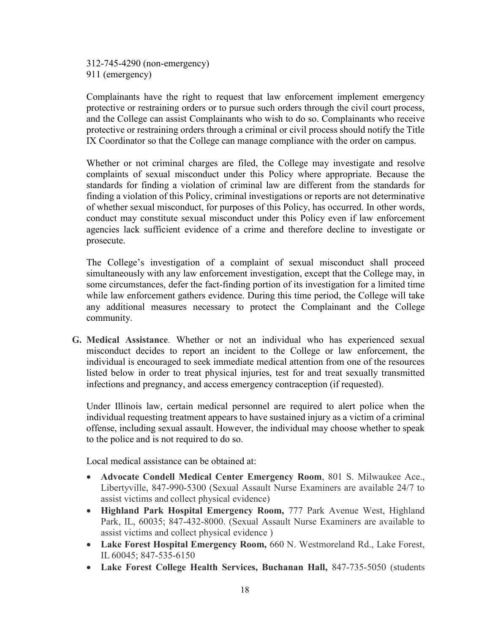312-745-4290 (non-emergency) 911 (emergency)

Complainants have the right to request that law enforcement implement emergency protective or restraining orders or to pursue such orders through the civil court process, and the College can assist Complainants who wish to do so. Complainants who receive protective or restraining orders through a criminal or civil process should notify the Title IX Coordinator so that the College can manage compliance with the order on campus.

Whether or not criminal charges are filed, the College may investigate and resolve complaints of sexual misconduct under this Policy where appropriate. Because the standards for finding a violation of criminal law are different from the standards for finding a violation of this Policy, criminal investigations or reports are not determinative of whether sexual misconduct, for purposes of this Policy, has occurred. In other words, conduct may constitute sexual misconduct under this Policy even if law enforcement agencies lack sufficient evidence of a crime and therefore decline to investigate or prosecute.

The College's investigation of a complaint of sexual misconduct shall proceed simultaneously with any law enforcement investigation, except that the College may, in some circumstances, defer the fact-finding portion of its investigation for a limited time while law enforcement gathers evidence. During this time period, the College will take any additional measures necessary to protect the Complainant and the College community.

**G. Medical Assistance**. Whether or not an individual who has experienced sexual misconduct decides to report an incident to the College or law enforcement, the individual is encouraged to seek immediate medical attention from one of the resources listed below in order to treat physical injuries, test for and treat sexually transmitted infections and pregnancy, and access emergency contraception (if requested).

Under Illinois law, certain medical personnel are required to alert police when the individual requesting treatment appears to have sustained injury as a victim of a criminal offense, including sexual assault. However, the individual may choose whether to speak to the police and is not required to do so.

Local medical assistance can be obtained at:

- x **Advocate Condell Medical Center Emergency Room**, 801 S. Milwaukee Ace., Libertyville, 847-990-5300 (Sexual Assault Nurse Examiners are available 24/7 to assist victims and collect physical evidence)
- **Highland Park Hospital Emergency Room, 777 Park Avenue West, Highland** Park, IL, 60035; 847-432-8000. (Sexual Assault Nurse Examiners are available to assist victims and collect physical evidence )
- x **Lake Forest Hospital Emergency Room,** 660 N. Westmoreland Rd., Lake Forest, IL 60045; 847-535-6150
- **Lake Forest College Health Services, Buchanan Hall, 847-735-5050 (students**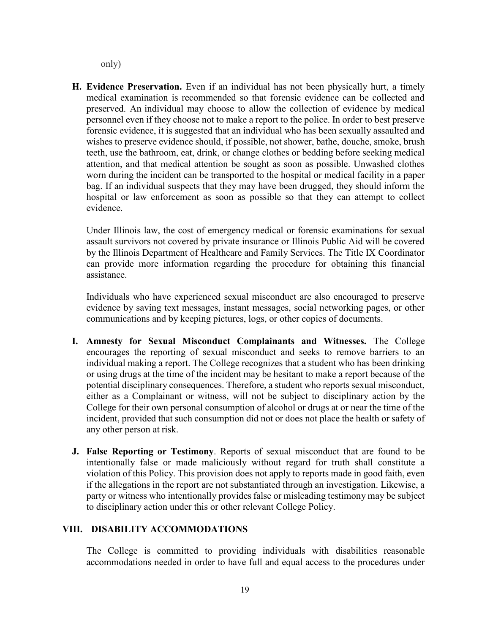only)

**H. Evidence Preservation.** Even if an individual has not been physically hurt, a timely medical examination is recommended so that forensic evidence can be collected and preserved. An individual may choose to allow the collection of evidence by medical personnel even if they choose not to make a report to the police. In order to best preserve forensic evidence, it is suggested that an individual who has been sexually assaulted and wishes to preserve evidence should, if possible, not shower, bathe, douche, smoke, brush teeth, use the bathroom, eat, drink, or change clothes or bedding before seeking medical attention, and that medical attention be sought as soon as possible. Unwashed clothes worn during the incident can be transported to the hospital or medical facility in a paper bag. If an individual suspects that they may have been drugged, they should inform the hospital or law enforcement as soon as possible so that they can attempt to collect evidence.

Under Illinois law, the cost of emergency medical or forensic examinations for sexual assault survivors not covered by private insurance or Illinois Public Aid will be covered by the Illinois Department of Healthcare and Family Services. The Title IX Coordinator can provide more information regarding the procedure for obtaining this financial assistance.

Individuals who have experienced sexual misconduct are also encouraged to preserve evidence by saving text messages, instant messages, social networking pages, or other communications and by keeping pictures, logs, or other copies of documents.

- **I. Amnesty for Sexual Misconduct Complainants and Witnesses.** The College encourages the reporting of sexual misconduct and seeks to remove barriers to an individual making a report. The College recognizes that a student who has been drinking or using drugs at the time of the incident may be hesitant to make a report because of the potential disciplinary consequences. Therefore, a student who reports sexual misconduct, either as a Complainant or witness, will not be subject to disciplinary action by the College for their own personal consumption of alcohol or drugs at or near the time of the incident, provided that such consumption did not or does not place the health or safety of any other person at risk.
- **J. False Reporting or Testimony**. Reports of sexual misconduct that are found to be intentionally false or made maliciously without regard for truth shall constitute a violation of this Policy. This provision does not apply to reports made in good faith, even if the allegations in the report are not substantiated through an investigation. Likewise, a party or witness who intentionally provides false or misleading testimony may be subject to disciplinary action under this or other relevant College Policy.

### **VIII. DISABILITY ACCOMMODATIONS**

The College is committed to providing individuals with disabilities reasonable accommodations needed in order to have full and equal access to the procedures under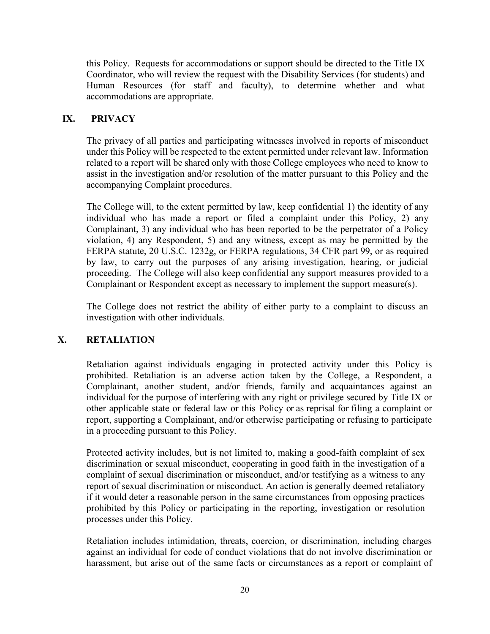this Policy. Requests for accommodations or support should be directed to the Title IX Coordinator, who will review the request with the Disability Services (for students) and Human Resources (for staff and faculty), to determine whether and what accommodations are appropriate.

# **IX. PRIVACY**

The privacy of all parties and participating witnesses involved in reports of misconduct under this Policy will be respected to the extent permitted under relevant law. Information related to a report will be shared only with those College employees who need to know to assist in the investigation and/or resolution of the matter pursuant to this Policy and the accompanying Complaint procedures.

The College will, to the extent permitted by law, keep confidential 1) the identity of any individual who has made a report or filed a complaint under this Policy, 2) any Complainant, 3) any individual who has been reported to be the perpetrator of a Policy violation, 4) any Respondent, 5) and any witness, except as may be permitted by the FERPA statute, 20 U.S.C. 1232g, or FERPA regulations, 34 CFR part 99, or as required by law, to carry out the purposes of any arising investigation, hearing, or judicial proceeding. The College will also keep confidential any support measures provided to a Complainant or Respondent except as necessary to implement the support measure(s).

The College does not restrict the ability of either party to a complaint to discuss an investigation with other individuals.

# **X. RETALIATION**

Retaliation against individuals engaging in protected activity under this Policy is prohibited. Retaliation is an adverse action taken by the College, a Respondent, a Complainant, another student, and/or friends, family and acquaintances against an individual for the purpose of interfering with any right or privilege secured by Title IX or other applicable state or federal law or this Policy or as reprisal for filing a complaint or report, supporting a Complainant, and/or otherwise participating or refusing to participate in a proceeding pursuant to this Policy.

Protected activity includes, but is not limited to, making a good-faith complaint of sex discrimination or sexual misconduct, cooperating in good faith in the investigation of a complaint of sexual discrimination or misconduct, and/or testifying as a witness to any report of sexual discrimination or misconduct. An action is generally deemed retaliatory if it would deter a reasonable person in the same circumstances from opposing practices prohibited by this Policy or participating in the reporting, investigation or resolution processes under this Policy.

Retaliation includes intimidation, threats, coercion, or discrimination, including charges against an individual for code of conduct violations that do not involve discrimination or harassment, but arise out of the same facts or circumstances as a report or complaint of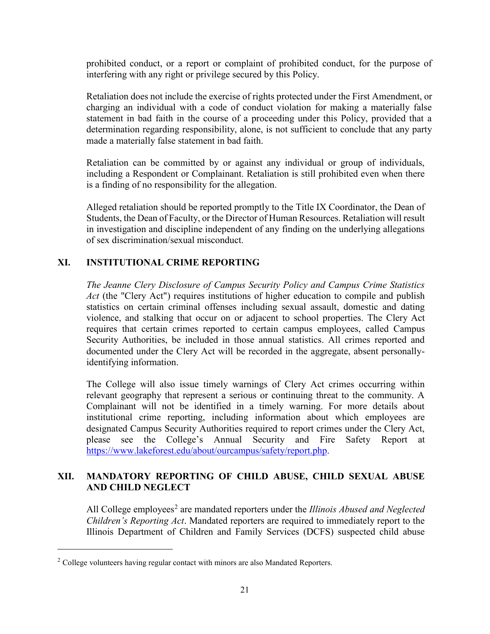prohibited conduct, or a report or complaint of prohibited conduct, for the purpose of interfering with any right or privilege secured by this Policy.

Retaliation does not include the exercise of rights protected under the First Amendment, or charging an individual with a code of conduct violation for making a materially false statement in bad faith in the course of a proceeding under this Policy, provided that a determination regarding responsibility, alone, is not sufficient to conclude that any party made a materially false statement in bad faith.

Retaliation can be committed by or against any individual or group of individuals, including a Respondent or Complainant. Retaliation is still prohibited even when there is a finding of no responsibility for the allegation.

Alleged retaliation should be reported promptly to the Title IX Coordinator, the Dean of Students, the Dean of Faculty, or the Director of Human Resources. Retaliation will result in investigation and discipline independent of any finding on the underlying allegations of sex discrimination/sexual misconduct.

# **XI. INSTITUTIONAL CRIME REPORTING**

*The Jeanne Clery Disclosure of Campus Security Policy and Campus Crime Statistics Act* (the "Clery Act") requires institutions of higher education to compile and publish statistics on certain criminal offenses including sexual assault, domestic and dating violence, and stalking that occur on or adjacent to school properties. The Clery Act requires that certain crimes reported to certain campus employees, called Campus Security Authorities, be included in those annual statistics. All crimes reported and documented under the Clery Act will be recorded in the aggregate, absent personallyidentifying information.

The College will also issue timely warnings of Clery Act crimes occurring within relevant geography that represent a serious or continuing threat to the community. A Complainant will not be identified in a timely warning. For more details about institutional crime reporting, including information about which employees are designated Campus Security Authorities required to report crimes under the Clery Act, please see the College's Annual Security and Fire Safety Report at [https://www.lakeforest.edu/about/ourcampus/safety/report.php.](https://www.lakeforest.edu/about/ourcampus/safety/report.php)

### **XII. MANDATORY REPORTING OF CHILD ABUSE, CHILD SEXUAL ABUSE AND CHILD NEGLECT**

All College employees<sup>2</sup> are mandated reporters under the *Illinois Abused and Neglected Children's Reporting Act*. Mandated reporters are required to immediately report to the Illinois Department of Children and Family Services (DCFS) suspected child abuse

l

<sup>&</sup>lt;sup>2</sup> College volunteers having regular contact with minors are also Mandated Reporters.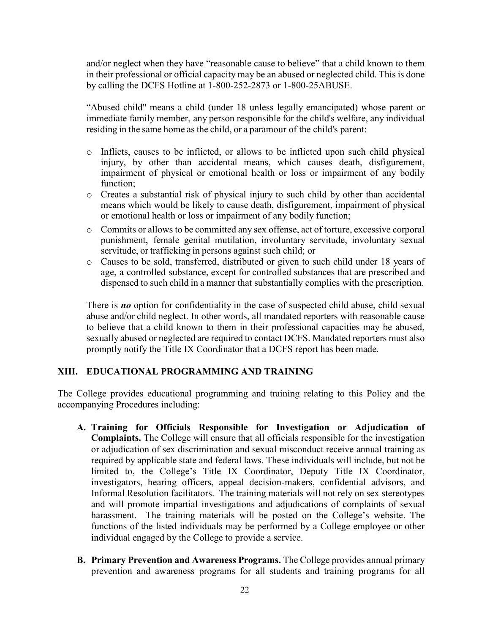and/or neglect when they have "reasonable cause to believe" that a child known to them in their professional or official capacity may be an abused or neglected child. This is done by calling the DCFS Hotline at 1-800-252-2873 or 1-800-25ABUSE.

"Abused child" means a child (under 18 unless legally emancipated) whose parent or immediate family member, any person responsible for the child's welfare, any individual residing in the same home as the child, or a paramour of the child's parent:

- o Inflicts, causes to be inflicted, or allows to be inflicted upon such child physical injury, by other than accidental means, which causes death, disfigurement, impairment of physical or emotional health or loss or impairment of any bodily function;
- o Creates a substantial risk of physical injury to such child by other than accidental means which would be likely to cause death, disfigurement, impairment of physical or emotional health or loss or impairment of any bodily function;
- o Commits or allows to be committed any sex offense, act of torture, excessive corporal punishment, female genital mutilation, involuntary servitude, involuntary sexual servitude, or trafficking in persons against such child; or
- o Causes to be sold, transferred, distributed or given to such child under 18 years of age, a controlled substance, except for controlled substances that are prescribed and dispensed to such child in a manner that substantially complies with the prescription.

There is **no** option for confidentiality in the case of suspected child abuse, child sexual abuse and/or child neglect. In other words, all mandated reporters with reasonable cause to believe that a child known to them in their professional capacities may be abused, sexually abused or neglected are required to contact DCFS. Mandated reporters must also promptly notify the Title IX Coordinator that a DCFS report has been made.

# **XIII. EDUCATIONAL PROGRAMMING AND TRAINING**

The College provides educational programming and training relating to this Policy and the accompanying Procedures including:

- **A. Training for Officials Responsible for Investigation or Adjudication of Complaints.** The College will ensure that all officials responsible for the investigation or adjudication of sex discrimination and sexual misconduct receive annual training as required by applicable state and federal laws. These individuals will include, but not be limited to, the College's Title IX Coordinator, Deputy Title IX Coordinator, investigators, hearing officers, appeal decision-makers, confidential advisors, and Informal Resolution facilitators. The training materials will not rely on sex stereotypes and will promote impartial investigations and adjudications of complaints of sexual harassment. The training materials will be posted on the College's website. The functions of the listed individuals may be performed by a College employee or other individual engaged by the College to provide a service.
- **B. Primary Prevention and Awareness Programs.** The College provides annual primary prevention and awareness programs for all students and training programs for all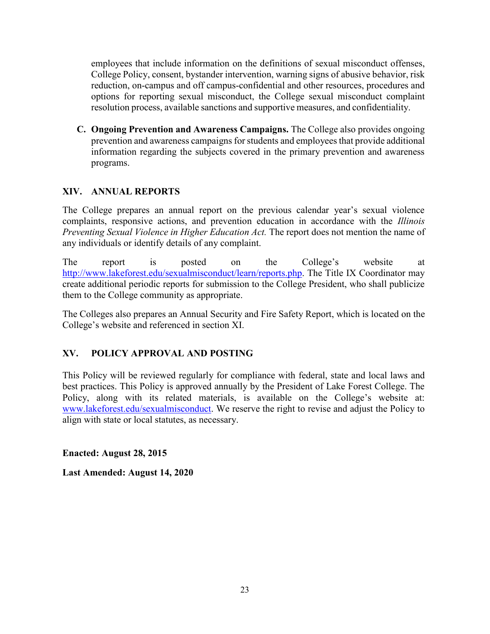employees that include information on the definitions of sexual misconduct offenses, College Policy, consent, bystander intervention, warning signs of abusive behavior, risk reduction, on-campus and off campus-confidential and other resources, procedures and options for reporting sexual misconduct, the College sexual misconduct complaint resolution process, available sanctions and supportive measures, and confidentiality.

**C. Ongoing Prevention and Awareness Campaigns.** The College also provides ongoing prevention and awareness campaigns for students and employees that provide additional information regarding the subjects covered in the primary prevention and awareness programs.

# **XIV. ANNUAL REPORTS**

The College prepares an annual report on the previous calendar year's sexual violence complaints, responsive actions, and prevention education in accordance with the *Illinois Preventing Sexual Violence in Higher Education Act.* The report does not mention the name of any individuals or identify details of any complaint.

The report is posted on the College's website at [http://www.lakeforest.edu/sexualmisconduct/learn/reports.php.](http://www.lakeforest.edu/sexualmisconduct/learn/reports.php) The Title IX Coordinator may create additional periodic reports for submission to the College President, who shall publicize them to the College community as appropriate.

The Colleges also prepares an Annual Security and Fire Safety Report, which is located on the College's website and referenced in section XI.

# **XV. POLICY APPROVAL AND POSTING**

This Policy will be reviewed regularly for compliance with federal, state and local laws and best practices. This Policy is approved annually by the President of Lake Forest College. The Policy, along with its related materials, is available on the College's website at: [www.lakeforest.edu/sexualmisconduct.](http://www.lakeforest.edu/sexualmisconduct) We reserve the right to revise and adjust the Policy to align with state or local statutes, as necessary.

**Enacted: August 28, 2015**

**Last Amended: August 14, 2020**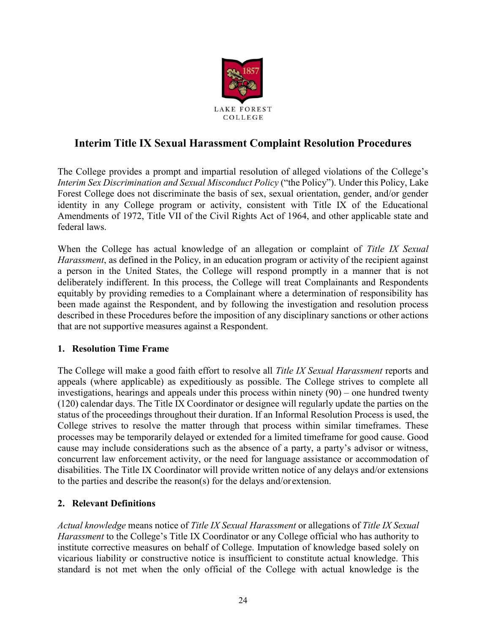

# **Interim Title IX Sexual Harassment Complaint Resolution Procedures**

The College provides a prompt and impartial resolution of alleged violations of the College's *Interim Sex Discrimination and Sexual Misconduct Policy* ("the Policy"). Under this Policy, Lake Forest College does not discriminate the basis of sex, sexual orientation, gender, and/or gender identity in any College program or activity, consistent with Title IX of the Educational Amendments of 1972, Title VII of the Civil Rights Act of 1964, and other applicable state and federal laws.

When the College has actual knowledge of an allegation or complaint of *Title IX Sexual Harassment*, as defined in the Policy, in an education program or activity of the recipient against a person in the United States, the College will respond promptly in a manner that is not deliberately indifferent. In this process, the College will treat Complainants and Respondents equitably by providing remedies to a Complainant where a determination of responsibility has been made against the Respondent, and by following the investigation and resolution process described in these Procedures before the imposition of any disciplinary sanctions or other actions that are not supportive measures against a Respondent.

# **1. Resolution Time Frame**

The College will make a good faith effort to resolve all *Title IX Sexual Harassment* reports and appeals (where applicable) as expeditiously as possible. The College strives to complete all investigations, hearings and appeals under this process within ninety (90) – one hundred twenty (120) calendar days. The Title IX Coordinator or designee will regularly update the parties on the status of the proceedings throughout their duration. If an Informal Resolution Process is used, the College strives to resolve the matter through that process within similar timeframes. These processes may be temporarily delayed or extended for a limited timeframe for good cause. Good cause may include considerations such as the absence of a party, a party's advisor or witness, concurrent law enforcement activity, or the need for language assistance or accommodation of disabilities. The Title IX Coordinator will provide written notice of any delays and/or extensions to the parties and describe the reason(s) for the delays and/orextension.

# **2. Relevant Definitions**

*Actual knowledge* means notice of *Title IX Sexual Harassment* or allegations of *Title IX Sexual Harassment* to the College's Title IX Coordinator or any College official who has authority to institute corrective measures on behalf of College. Imputation of knowledge based solely on vicarious liability or constructive notice is insufficient to constitute actual knowledge. This standard is not met when the only official of the College with actual knowledge is the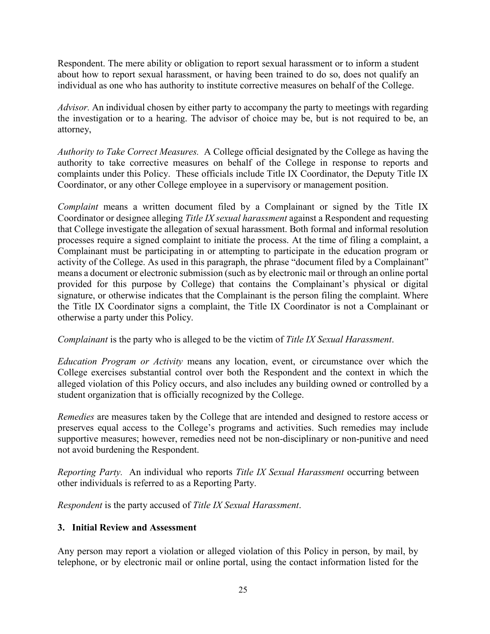Respondent. The mere ability or obligation to report sexual harassment or to inform a student about how to report sexual harassment, or having been trained to do so, does not qualify an individual as one who has authority to institute corrective measures on behalf of the College.

*Advisor.* An individual chosen by either party to accompany the party to meetings with regarding the investigation or to a hearing. The advisor of choice may be, but is not required to be, an attorney,

*Authority to Take Correct Measures.* A College official designated by the College as having the authority to take corrective measures on behalf of the College in response to reports and complaints under this Policy. These officials include Title IX Coordinator, the Deputy Title IX Coordinator, or any other College employee in a supervisory or management position.

*Complaint* means a written document filed by a Complainant or signed by the Title IX Coordinator or designee alleging *Title IX sexual harassment* against a Respondent and requesting that College investigate the allegation of sexual harassment. Both formal and informal resolution processes require a signed complaint to initiate the process. At the time of filing a complaint, a Complainant must be participating in or attempting to participate in the education program or activity of the College. As used in this paragraph, the phrase "document filed by a Complainant" means a document or electronic submission (such as by electronic mail or through an online portal provided for this purpose by College) that contains the Complainant's physical or digital signature, or otherwise indicates that the Complainant is the person filing the complaint. Where the Title IX Coordinator signs a complaint, the Title IX Coordinator is not a Complainant or otherwise a party under this Policy.

*Complainant* is the party who is alleged to be the victim of *Title IX Sexual Harassment*.

*Education Program or Activity* means any location, event, or circumstance over which the College exercises substantial control over both the Respondent and the context in which the alleged violation of this Policy occurs, and also includes any building owned or controlled by a student organization that is officially recognized by the College.

*Remedies* are measures taken by the College that are intended and designed to restore access or preserves equal access to the College's programs and activities. Such remedies may include supportive measures; however, remedies need not be non-disciplinary or non-punitive and need not avoid burdening the Respondent.

*Reporting Party.* An individual who reports *Title IX Sexual Harassment* occurring between other individuals is referred to as a Reporting Party.

*Respondent* is the party accused of *Title IX Sexual Harassment*.

# **3. Initial Review and Assessment**

Any person may report a violation or alleged violation of this Policy in person, by mail, by telephone, or by electronic mail or online portal, using the contact information listed for the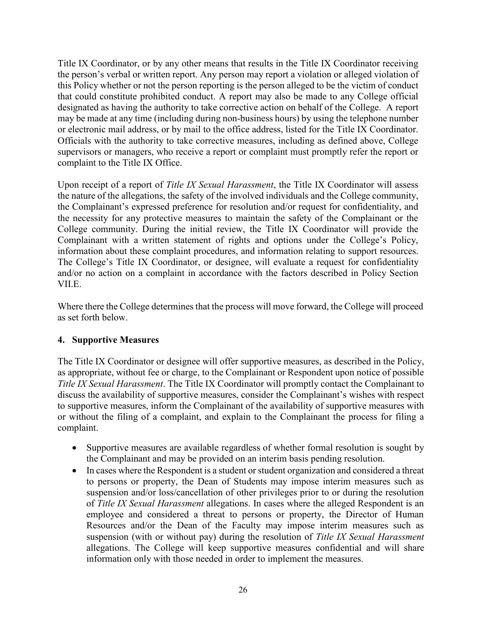Title IX Coordinator, or by any other means that results in the Title IX Coordinator receiving the person's verbal or written report. Any person may report a violation or alleged violation of this Policy whether or not the person reporting is the person alleged to be the victim of conduct that could constitute prohibited conduct. A report may also be made to any College official designated as having the authority to take corrective action on behalf of the College. A report may be made at any time (including during non-business hours) by using the telephone number or electronic mail address, or by mail to the office address, listed for the Title IX Coordinator. Officials with the authority to take corrective measures, including as defined above, College supervisors or managers, who receive a report or complaint must promptly refer the report or complaint to the Title IX Office.

Upon receipt of a report of *Title IX Sexual Harassment*, the Title IX Coordinator will assess the nature of the allegations, the safety of the involved individuals and the College community, the Complainant's expressed preference for resolution and/or request for confidentiality, and the necessity for any protective measures to maintain the safety of the Complainant or the College community. During the initial review, the Title IX Coordinator will provide the Complainant with a written statement of rights and options under the College's Policy, information about these complaint procedures, and information relating to support resources. The College's Title IX Coordinator, or designee, will evaluate a request for confidentiality and/or no action on a complaint in accordance with the factors described in Policy Section VII.E.

Where there the College determines that the process will move forward, the College will proceed as set forth below.

# **4. Supportive Measures**

The Title IX Coordinator or designee will offer supportive measures, as described in the Policy, as appropriate, without fee or charge, to the Complainant or Respondent upon notice of possible *Title IX Sexual Harassment*. The Title IX Coordinator will promptly contact the Complainant to discuss the availability of supportive measures, consider the Complainant's wishes with respect to supportive measures, inform the Complainant of the availability of supportive measures with or without the filing of a complaint, and explain to the Complainant the process for filing a complaint.

- Supportive measures are available regardless of whether formal resolution is sought by the Complainant and may be provided on an interim basis pending resolution.
- In cases where the Respondent is a student or student organization and considered a threat to persons or property, the Dean of Students may impose interim measures such as suspension and/or loss/cancellation of other privileges prior to or during the resolution of *Title IX Sexual Harassment* allegations. In cases where the alleged Respondent is an employee and considered a threat to persons or property, the Director of Human Resources and/or the Dean of the Faculty may impose interim measures such as suspension (with or without pay) during the resolution of *Title IX Sexual Harassment*  allegations. The College will keep supportive measures confidential and will share information only with those needed in order to implement the measures.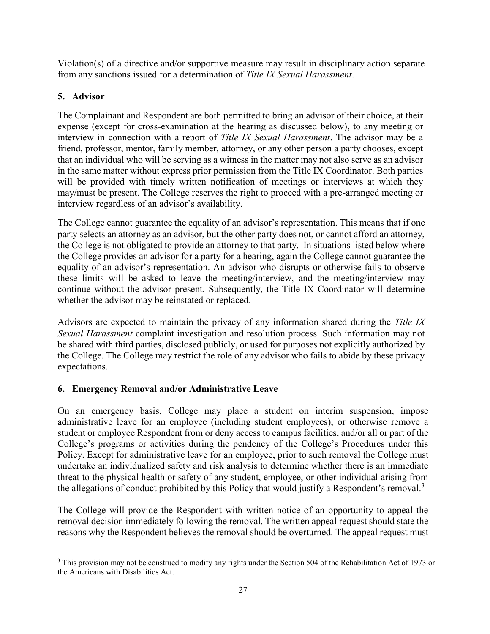Violation(s) of a directive and/or supportive measure may result in disciplinary action separate from any sanctions issued for a determination of *Title IX Sexual Harassment*.

# **5. Advisor**

The Complainant and Respondent are both permitted to bring an advisor of their choice, at their expense (except for cross-examination at the hearing as discussed below), to any meeting or interview in connection with a report of *Title IX Sexual Harassment*. The advisor may be a friend, professor, mentor, family member, attorney, or any other person a party chooses, except that an individual who will be serving as a witness in the matter may not also serve as an advisor in the same matter without express prior permission from the Title IX Coordinator. Both parties will be provided with timely written notification of meetings or interviews at which they may/must be present. The College reserves the right to proceed with a pre-arranged meeting or interview regardless of an advisor's availability.

The College cannot guarantee the equality of an advisor's representation. This means that if one party selects an attorney as an advisor, but the other party does not, or cannot afford an attorney, the College is not obligated to provide an attorney to that party. In situations listed below where the College provides an advisor for a party for a hearing, again the College cannot guarantee the equality of an advisor's representation. An advisor who disrupts or otherwise fails to observe these limits will be asked to leave the meeting/interview, and the meeting/interview may continue without the advisor present. Subsequently, the Title IX Coordinator will determine whether the advisor may be reinstated or replaced.

Advisors are expected to maintain the privacy of any information shared during the *Title IX Sexual Harassment* complaint investigation and resolution process. Such information may not be shared with third parties, disclosed publicly, or used for purposes not explicitly authorized by the College. The College may restrict the role of any advisor who fails to abide by these privacy expectations.

# **6. Emergency Removal and/or Administrative Leave**

On an emergency basis, College may place a student on interim suspension, impose administrative leave for an employee (including student employees), or otherwise remove a student or employee Respondent from or deny access to campus facilities, and/or all or part of the College's programs or activities during the pendency of the College's Procedures under this Policy. Except for administrative leave for an employee, prior to such removal the College must undertake an individualized safety and risk analysis to determine whether there is an immediate threat to the physical health or safety of any student, employee, or other individual arising from the allegations of conduct prohibited by this Policy that would justify a Respondent's removal.<sup>3</sup>

The College will provide the Respondent with written notice of an opportunity to appeal the removal decision immediately following the removal. The written appeal request should state the reasons why the Respondent believes the removal should be overturned. The appeal request must

<sup>&</sup>lt;sup>3</sup> This provision may not be construed to modify any rights under the Section 504 of the Rehabilitation Act of 1973 or the Americans with Disabilities Act.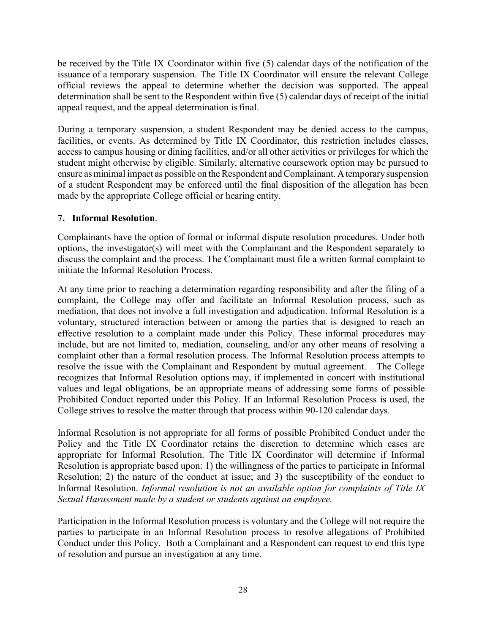be received by the Title IX Coordinator within five (5) calendar days of the notification of the issuance of a temporary suspension. The Title IX Coordinator will ensure the relevant College official reviews the appeal to determine whether the decision was supported. The appeal determination shall be sent to the Respondent within five (5) calendar days of receipt of the initial appeal request, and the appeal determination isfinal.

During a temporary suspension, a student Respondent may be denied access to the campus, facilities, or events. As determined by Title IX Coordinator, this restriction includes classes, access to campus housing or dining facilities, and/or all other activities or privileges for which the student might otherwise by eligible. Similarly, alternative coursework option may be pursued to ensure as minimal impact as possible on the Respondent and Complainant. A temporary suspension of a student Respondent may be enforced until the final disposition of the allegation has been made by the appropriate College official or hearing entity.

# **7. Informal Resolution**.

Complainants have the option of formal or informal dispute resolution procedures. Under both options, the investigator(s) will meet with the Complainant and the Respondent separately to discuss the complaint and the process. The Complainant must file a written formal complaint to initiate the Informal Resolution Process.

At any time prior to reaching a determination regarding responsibility and after the filing of a complaint, the College may offer and facilitate an Informal Resolution process, such as mediation, that does not involve a full investigation and adjudication. Informal Resolution is a voluntary, structured interaction between or among the parties that is designed to reach an effective resolution to a complaint made under this Policy. These informal procedures may include, but are not limited to, mediation, counseling, and/or any other means of resolving a complaint other than a formal resolution process. The Informal Resolution process attempts to resolve the issue with the Complainant and Respondent by mutual agreement. The College recognizes that Informal Resolution options may, if implemented in concert with institutional values and legal obligations, be an appropriate means of addressing some forms of possible Prohibited Conduct reported under this Policy. If an Informal Resolution Process is used, the College strives to resolve the matter through that process within 90-120 calendar days.

Informal Resolution is not appropriate for all forms of possible Prohibited Conduct under the Policy and the Title IX Coordinator retains the discretion to determine which cases are appropriate for Informal Resolution. The Title IX Coordinator will determine if Informal Resolution is appropriate based upon: 1) the willingness of the parties to participate in Informal Resolution; 2) the nature of the conduct at issue; and 3) the susceptibility of the conduct to Informal Resolution. *Informal resolution is not an available option for complaints of Title IX Sexual Harassment made by a student or students against an employee.*

Participation in the Informal Resolution process is voluntary and the College will not require the parties to participate in an Informal Resolution process to resolve allegations of Prohibited Conduct under this Policy. Both a Complainant and a Respondent can request to end this type of resolution and pursue an investigation at any time.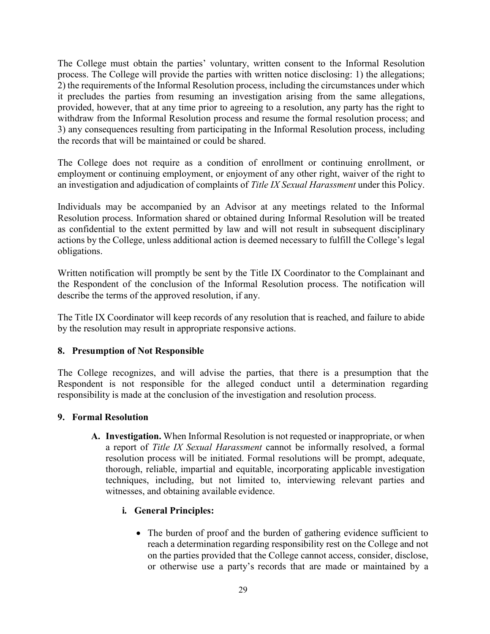The College must obtain the parties' voluntary, written consent to the Informal Resolution process. The College will provide the parties with written notice disclosing: 1) the allegations; 2) the requirements of the Informal Resolution process, including the circumstances under which it precludes the parties from resuming an investigation arising from the same allegations, provided, however, that at any time prior to agreeing to a resolution, any party has the right to withdraw from the Informal Resolution process and resume the formal resolution process; and 3) any consequences resulting from participating in the Informal Resolution process, including the records that will be maintained or could be shared.

The College does not require as a condition of enrollment or continuing enrollment, or employment or continuing employment, or enjoyment of any other right, waiver of the right to an investigation and adjudication of complaints of *Title IX Sexual Harassment* under this Policy.

Individuals may be accompanied by an Advisor at any meetings related to the Informal Resolution process. Information shared or obtained during Informal Resolution will be treated as confidential to the extent permitted by law and will not result in subsequent disciplinary actions by the College, unless additional action is deemed necessary to fulfill the College's legal obligations.

Written notification will promptly be sent by the Title IX Coordinator to the Complainant and the Respondent of the conclusion of the Informal Resolution process. The notification will describe the terms of the approved resolution, if any.

The Title IX Coordinator will keep records of any resolution that is reached, and failure to abide by the resolution may result in appropriate responsive actions.

### **8. Presumption of Not Responsible**

The College recognizes, and will advise the parties, that there is a presumption that the Respondent is not responsible for the alleged conduct until a determination regarding responsibility is made at the conclusion of the investigation and resolution process.

### **9. Formal Resolution**

**A. Investigation.** When Informal Resolution is not requested or inappropriate, or when a report of *Title IX Sexual Harassment* cannot be informally resolved, a formal resolution process will be initiated. Formal resolutions will be prompt, adequate, thorough, reliable, impartial and equitable, incorporating applicable investigation techniques, including, but not limited to, interviewing relevant parties and witnesses, and obtaining available evidence.

# **i. General Principles:**

• The burden of proof and the burden of gathering evidence sufficient to reach a determination regarding responsibility rest on the College and not on the parties provided that the College cannot access, consider, disclose, or otherwise use a party's records that are made or maintained by a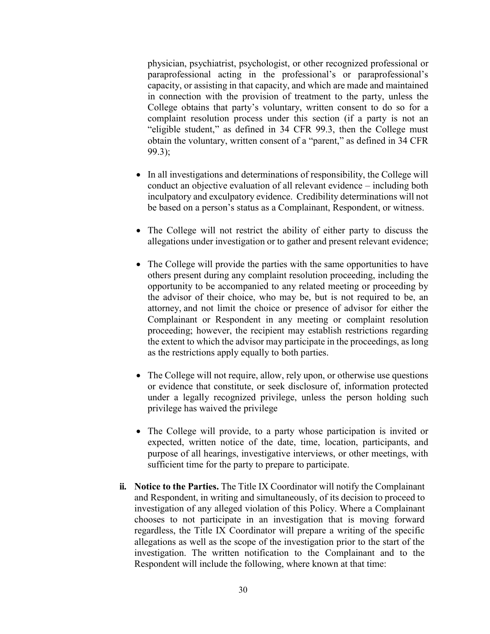physician, psychiatrist, psychologist, or other recognized professional or paraprofessional acting in the professional's or paraprofessional's capacity, or assisting in that capacity, and which are made and maintained in connection with the provision of treatment to the party, unless the College obtains that party's voluntary, written consent to do so for a complaint resolution process under this section (if a party is not an "eligible student," as defined in 34 CFR 99.3, then the College must obtain the voluntary, written consent of a "parent," as defined in 34 CFR 99.3);

- In all investigations and determinations of responsibility, the College will conduct an objective evaluation of all relevant evidence – including both inculpatory and exculpatory evidence. Credibility determinations will not be based on a person's status as a Complainant, Respondent, or witness.
- The College will not restrict the ability of either party to discuss the allegations under investigation or to gather and present relevant evidence;
- The College will provide the parties with the same opportunities to have others present during any complaint resolution proceeding, including the opportunity to be accompanied to any related meeting or proceeding by the advisor of their choice, who may be, but is not required to be, an attorney, and not limit the choice or presence of advisor for either the Complainant or Respondent in any meeting or complaint resolution proceeding; however, the recipient may establish restrictions regarding the extent to which the advisor may participate in the proceedings, as long as the restrictions apply equally to both parties.
- The College will not require, allow, rely upon, or otherwise use questions or evidence that constitute, or seek disclosure of, information protected under a legally recognized privilege, unless the person holding such privilege has waived the privilege
- The College will provide, to a party whose participation is invited or expected, written notice of the date, time, location, participants, and purpose of all hearings, investigative interviews, or other meetings, with sufficient time for the party to prepare to participate.
- **ii. Notice to the Parties.** The Title IX Coordinator will notify the Complainant and Respondent, in writing and simultaneously, of its decision to proceed to investigation of any alleged violation of this Policy. Where a Complainant chooses to not participate in an investigation that is moving forward regardless, the Title IX Coordinator will prepare a writing of the specific allegations as well as the scope of the investigation prior to the start of the investigation. The written notification to the Complainant and to the Respondent will include the following, where known at that time: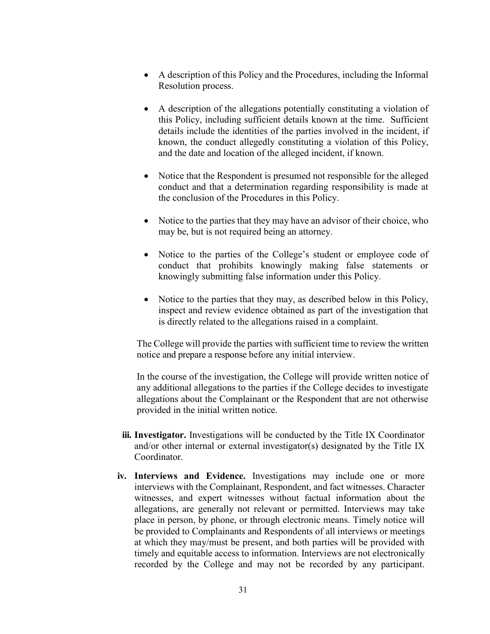- A description of this Policy and the Procedures, including the Informal Resolution process.
- A description of the allegations potentially constituting a violation of this Policy, including sufficient details known at the time. Sufficient details include the identities of the parties involved in the incident, if known, the conduct allegedly constituting a violation of this Policy, and the date and location of the alleged incident, if known.
- Notice that the Respondent is presumed not responsible for the alleged conduct and that a determination regarding responsibility is made at the conclusion of the Procedures in this Policy.
- $\bullet$  Notice to the parties that they may have an advisor of their choice, who may be, but is not required being an attorney.
- Notice to the parties of the College's student or employee code of conduct that prohibits knowingly making false statements or knowingly submitting false information under this Policy.
- Notice to the parties that they may, as described below in this Policy, inspect and review evidence obtained as part of the investigation that is directly related to the allegations raised in a complaint.

The College will provide the parties with sufficient time to review the written notice and prepare a response before any initial interview.

In the course of the investigation, the College will provide written notice of any additional allegations to the parties if the College decides to investigate allegations about the Complainant or the Respondent that are not otherwise provided in the initial written notice.

- **iii. Investigator.** Investigations will be conducted by the Title IX Coordinator and/or other internal or external investigator(s) designated by the Title IX **Coordinator**
- **iv. Interviews and Evidence.** Investigations may include one or more interviews with the Complainant, Respondent, and fact witnesses. Character witnesses, and expert witnesses without factual information about the allegations, are generally not relevant or permitted. Interviews may take place in person, by phone, or through electronic means. Timely notice will be provided to Complainants and Respondents of all interviews or meetings at which they may/must be present, and both parties will be provided with timely and equitable access to information. Interviews are not electronically recorded by the College and may not be recorded by any participant.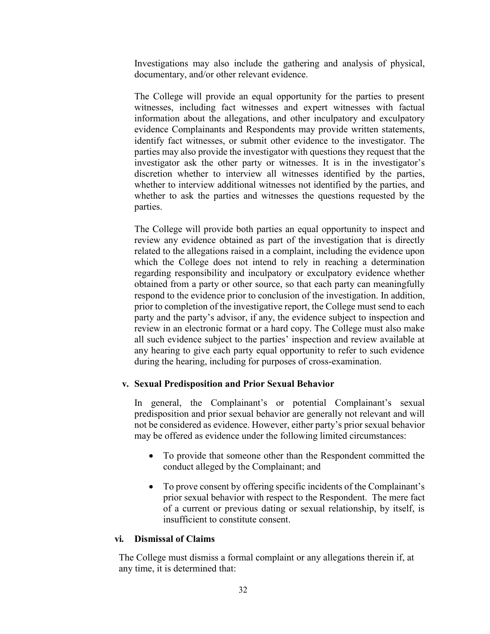Investigations may also include the gathering and analysis of physical, documentary, and/or other relevant evidence.

The College will provide an equal opportunity for the parties to present witnesses, including fact witnesses and expert witnesses with factual information about the allegations, and other inculpatory and exculpatory evidence Complainants and Respondents may provide written statements, identify fact witnesses, or submit other evidence to the investigator. The parties may also provide the investigator with questions they request that the investigator ask the other party or witnesses. It is in the investigator's discretion whether to interview all witnesses identified by the parties, whether to interview additional witnesses not identified by the parties, and whether to ask the parties and witnesses the questions requested by the parties.

The College will provide both parties an equal opportunity to inspect and review any evidence obtained as part of the investigation that is directly related to the allegations raised in a complaint, including the evidence upon which the College does not intend to rely in reaching a determination regarding responsibility and inculpatory or exculpatory evidence whether obtained from a party or other source, so that each party can meaningfully respond to the evidence prior to conclusion of the investigation. In addition, prior to completion of the investigative report, the College must send to each party and the party's advisor, if any, the evidence subject to inspection and review in an electronic format or a hard copy. The College must also make all such evidence subject to the parties' inspection and review available at any hearing to give each party equal opportunity to refer to such evidence during the hearing, including for purposes of cross-examination.

### **v. Sexual Predisposition and Prior Sexual Behavior**

In general, the Complainant's or potential Complainant's sexual predisposition and prior sexual behavior are generally not relevant and will not be considered as evidence. However, either party's prior sexual behavior may be offered as evidence under the following limited circumstances:

- To provide that someone other than the Respondent committed the conduct alleged by the Complainant; and
- To prove consent by offering specific incidents of the Complainant's prior sexual behavior with respect to the Respondent. The mere fact of a current or previous dating or sexual relationship, by itself, is insufficient to constitute consent.

#### **vi. Dismissal of Claims**

The College must dismiss a formal complaint or any allegations therein if, at any time, it is determined that: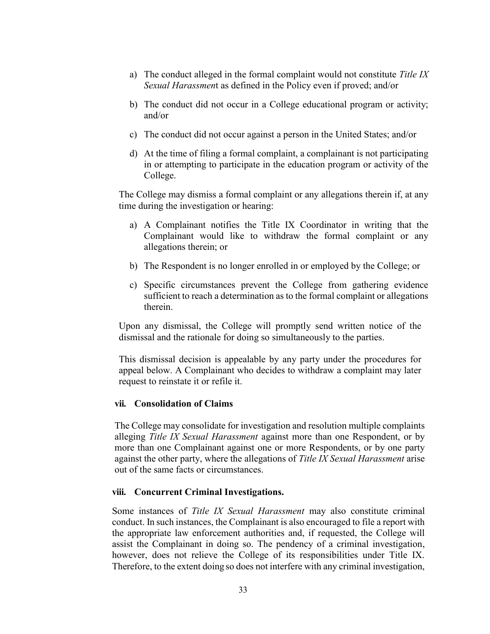- a) The conduct alleged in the formal complaint would not constitute *Title IX Sexual Harassmen*t as defined in the Policy even if proved; and/or
- b) The conduct did not occur in a College educational program or activity; and/or
- c) The conduct did not occur against a person in the United States; and/or
- d) At the time of filing a formal complaint, a complainant is not participating in or attempting to participate in the education program or activity of the College.

The College may dismiss a formal complaint or any allegations therein if, at any time during the investigation or hearing:

- a) A Complainant notifies the Title IX Coordinator in writing that the Complainant would like to withdraw the formal complaint or any allegations therein; or
- b) The Respondent is no longer enrolled in or employed by the College; or
- c) Specific circumstances prevent the College from gathering evidence sufficient to reach a determination as to the formal complaint or allegations therein.

Upon any dismissal, the College will promptly send written notice of the dismissal and the rationale for doing so simultaneously to the parties.

This dismissal decision is appealable by any party under the procedures for appeal below. A Complainant who decides to withdraw a complaint may later request to reinstate it or refile it.

#### **vii. Consolidation of Claims**

The College may consolidate for investigation and resolution multiple complaints alleging *Title IX Sexual Harassment* against more than one Respondent, or by more than one Complainant against one or more Respondents, or by one party against the other party, where the allegations of *Title IX Sexual Harassment* arise out of the same facts or circumstances.

#### **viii. Concurrent Criminal Investigations.**

Some instances of *Title IX Sexual Harassment* may also constitute criminal conduct. In such instances, the Complainant is also encouraged to file a report with the appropriate law enforcement authorities and, if requested, the College will assist the Complainant in doing so. The pendency of a criminal investigation, however, does not relieve the College of its responsibilities under Title IX. Therefore, to the extent doing so does not interfere with any criminal investigation,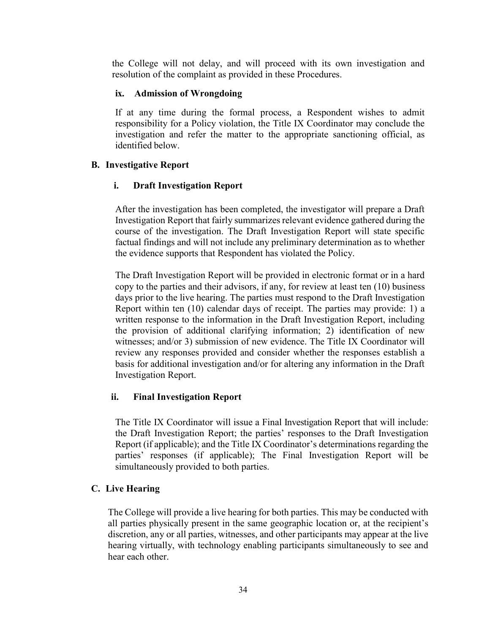the College will not delay, and will proceed with its own investigation and resolution of the complaint as provided in these Procedures.

### **ix. Admission of Wrongdoing**

If at any time during the formal process, a Respondent wishes to admit responsibility for a Policy violation, the Title IX Coordinator may conclude the investigation and refer the matter to the appropriate sanctioning official, as identified below.

# **B. Investigative Report**

### **i. Draft Investigation Report**

After the investigation has been completed, the investigator will prepare a Draft Investigation Report that fairly summarizes relevant evidence gathered during the course of the investigation. The Draft Investigation Report will state specific factual findings and will not include any preliminary determination as to whether the evidence supports that Respondent has violated the Policy.

The Draft Investigation Report will be provided in electronic format or in a hard copy to the parties and their advisors, if any, for review at least ten (10) business days prior to the live hearing. The parties must respond to the Draft Investigation Report within ten (10) calendar days of receipt. The parties may provide: 1) a written response to the information in the Draft Investigation Report, including the provision of additional clarifying information; 2) identification of new witnesses; and/or 3) submission of new evidence. The Title IX Coordinator will review any responses provided and consider whether the responses establish a basis for additional investigation and/or for altering any information in the Draft Investigation Report.

# **ii. Final Investigation Report**

The Title IX Coordinator will issue a Final Investigation Report that will include: the Draft Investigation Report; the parties' responses to the Draft Investigation Report (if applicable); and the Title IX Coordinator's determinations regarding the parties' responses (if applicable); The Final Investigation Report will be simultaneously provided to both parties.

# **C. Live Hearing**

The College will provide a live hearing for both parties. This may be conducted with all parties physically present in the same geographic location or, at the recipient's discretion, any or all parties, witnesses, and other participants may appear at the live hearing virtually, with technology enabling participants simultaneously to see and hear each other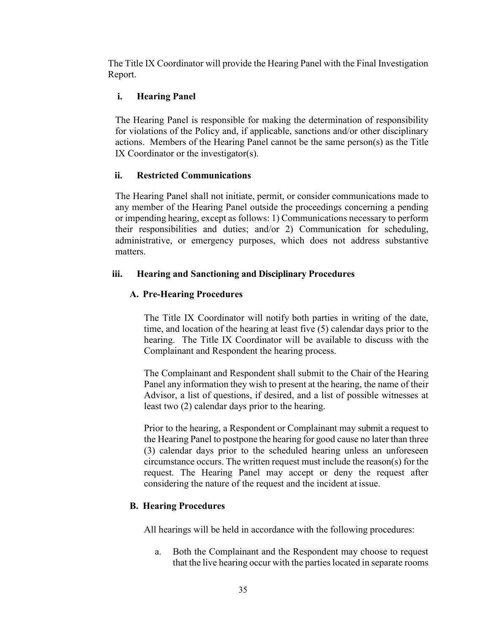The Title IX Coordinator will provide the Hearing Panel with the Final Investigation Report.

# **i. Hearing Panel**

The Hearing Panel is responsible for making the determination of responsibility for violations of the Policy and, if applicable, sanctions and/or other disciplinary actions. Members of the Hearing Panel cannot be the same person(s) as the Title IX Coordinator or the investigator(s).

### **ii. Restricted Communications**

The Hearing Panel shall not initiate, permit, or consider communications made to any member of the Hearing Panel outside the proceedings concerning a pending or impending hearing, except as follows: 1) Communications necessary to perform their responsibilities and duties; and/or 2) Communication for scheduling, administrative, or emergency purposes, which does not address substantive matters.

### **iii. Hearing and Sanctioning and Disciplinary Procedures**

# **A. Pre-Hearing Procedures**

The Title IX Coordinator will notify both parties in writing of the date, time, and location of the hearing at least five (5) calendar days prior to the hearing. The Title IX Coordinator will be available to discuss with the Complainant and Respondent the hearing process.

The Complainant and Respondent shall submit to the Chair of the Hearing Panel any information they wish to present at the hearing, the name of their Advisor, a list of questions, if desired, and a list of possible witnesses at least two (2) calendar days prior to the hearing.

Prior to the hearing, a Respondent or Complainant may submit a request to the Hearing Panel to postpone the hearing for good cause no later than three (3) calendar days prior to the scheduled hearing unless an unforeseen circumstance occurs. The written request must include the reason(s) for the request. The Hearing Panel may accept or deny the request after considering the nature of the request and the incident at issue.

# **B. Hearing Procedures**

All hearings will be held in accordance with the following procedures:

a. Both the Complainant and the Respondent may choose to request that the live hearing occur with the parties located in separate rooms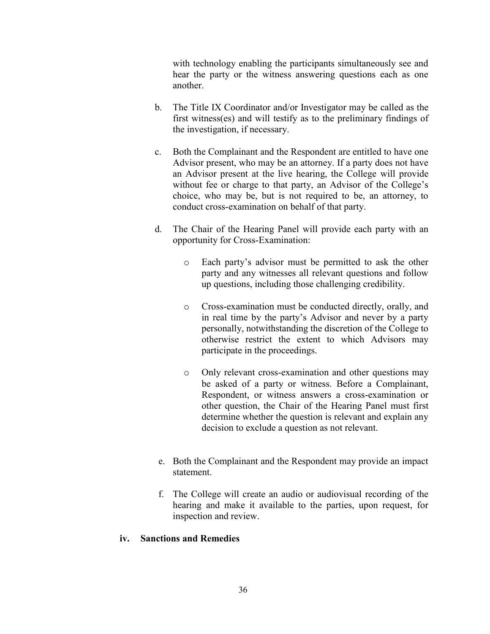with technology enabling the participants simultaneously see and hear the party or the witness answering questions each as one another.

- b. The Title IX Coordinator and/or Investigator may be called as the first witness(es) and will testify as to the preliminary findings of the investigation, if necessary.
- c. Both the Complainant and the Respondent are entitled to have one Advisor present, who may be an attorney. If a party does not have an Advisor present at the live hearing, the College will provide without fee or charge to that party, an Advisor of the College's choice, who may be, but is not required to be, an attorney, to conduct cross-examination on behalf of that party.
- d. The Chair of the Hearing Panel will provide each party with an opportunity for Cross-Examination:
	- o Each party's advisor must be permitted to ask the other party and any witnesses all relevant questions and follow up questions, including those challenging credibility.
	- o Cross-examination must be conducted directly, orally, and in real time by the party's Advisor and never by a party personally, notwithstanding the discretion of the College to otherwise restrict the extent to which Advisors may participate in the proceedings.
	- o Only relevant cross-examination and other questions may be asked of a party or witness. Before a Complainant, Respondent, or witness answers a cross-examination or other question, the Chair of the Hearing Panel must first determine whether the question is relevant and explain any decision to exclude a question as not relevant.
- e. Both the Complainant and the Respondent may provide an impact statement.
- f. The College will create an audio or audiovisual recording of the hearing and make it available to the parties, upon request, for inspection and review.

# **iv. Sanctions and Remedies**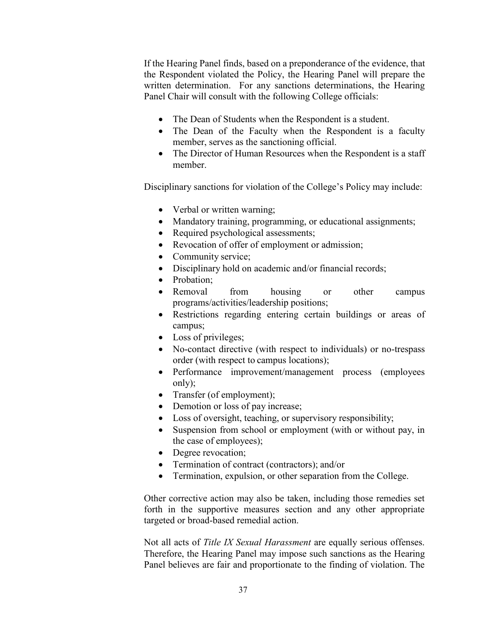If the Hearing Panel finds, based on a preponderance of the evidence, that the Respondent violated the Policy, the Hearing Panel will prepare the written determination. For any sanctions determinations, the Hearing Panel Chair will consult with the following College officials:

- The Dean of Students when the Respondent is a student.
- The Dean of the Faculty when the Respondent is a faculty member, serves as the sanctioning official.
- The Director of Human Resources when the Respondent is a staff member.

Disciplinary sanctions for violation of the College's Policy may include:

- $\bullet$  Verbal or written warning;
- Mandatory training, programming, or educational assignments;
- Required psychological assessments;
- Revocation of offer of employment or admission;
- Community service;
- Disciplinary hold on academic and/or financial records;
- Probation;
- Removal from housing or other campus programs/activities/leadership positions;
- Restrictions regarding entering certain buildings or areas of campus;
- $\bullet$  Loss of privileges;
- No-contact directive (with respect to individuals) or no-trespass order (with respect to campus locations);
- Performance improvement/management process (employees only);
- Transfer (of employment);
- Demotion or loss of pay increase;
- Loss of oversight, teaching, or supervisory responsibility;
- Suspension from school or employment (with or without pay, in the case of employees);
- Degree revocation;
- Termination of contract (contractors); and/or
- Termination, expulsion, or other separation from the College.

Other corrective action may also be taken, including those remedies set forth in the supportive measures section and any other appropriate targeted or broad-based remedial action.

Not all acts of *Title IX Sexual Harassment* are equally serious offenses. Therefore, the Hearing Panel may impose such sanctions as the Hearing Panel believes are fair and proportionate to the finding of violation. The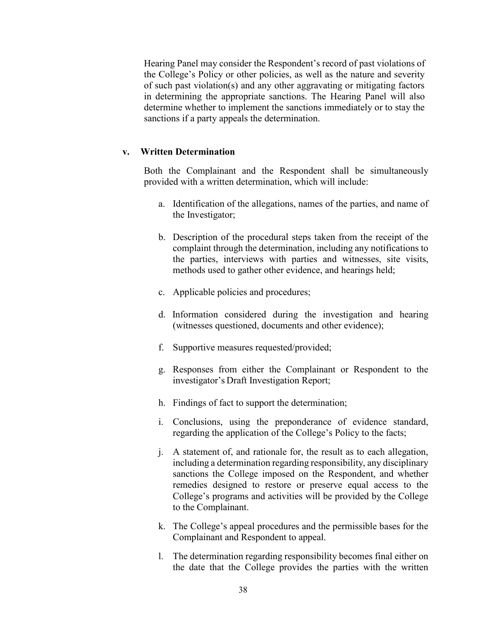Hearing Panel may consider the Respondent's record of past violations of the College's Policy or other policies, as well as the nature and severity of such past violation(s) and any other aggravating or mitigating factors in determining the appropriate sanctions. The Hearing Panel will also determine whether to implement the sanctions immediately or to stay the sanctions if a party appeals the determination.

#### **v. Written Determination**

Both the Complainant and the Respondent shall be simultaneously provided with a written determination, which will include:

- a. Identification of the allegations, names of the parties, and name of the Investigator;
- b. Description of the procedural steps taken from the receipt of the complaint through the determination, including any notifications to the parties, interviews with parties and witnesses, site visits, methods used to gather other evidence, and hearings held;
- c. Applicable policies and procedures;
- d. Information considered during the investigation and hearing (witnesses questioned, documents and other evidence);
- f. Supportive measures requested/provided;
- g. Responses from either the Complainant or Respondent to the investigator's Draft Investigation Report;
- h. Findings of fact to support the determination;
- i. Conclusions, using the preponderance of evidence standard, regarding the application of the College's Policy to the facts;
- j. A statement of, and rationale for, the result as to each allegation, including a determination regarding responsibility, any disciplinary sanctions the College imposed on the Respondent, and whether remedies designed to restore or preserve equal access to the College's programs and activities will be provided by the College to the Complainant.
- k. The College's appeal procedures and the permissible bases for the Complainant and Respondent to appeal.
- l. The determination regarding responsibility becomes final either on the date that the College provides the parties with the written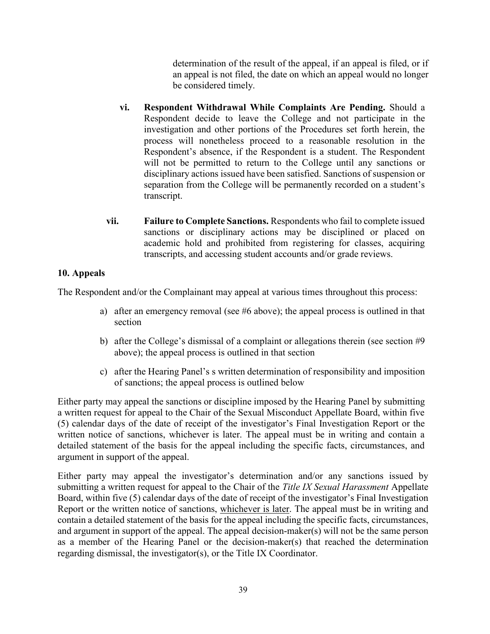determination of the result of the appeal, if an appeal is filed, or if an appeal is not filed, the date on which an appeal would no longer be considered timely.

- **vi. Respondent Withdrawal While Complaints Are Pending.** Should a Respondent decide to leave the College and not participate in the investigation and other portions of the Procedures set forth herein, the process will nonetheless proceed to a reasonable resolution in the Respondent's absence, if the Respondent is a student. The Respondent will not be permitted to return to the College until any sanctions or disciplinary actions issued have been satisfied. Sanctions of suspension or separation from the College will be permanently recorded on a student's transcript.
- **vii. Failure to Complete Sanctions.** Respondents who fail to complete issued sanctions or disciplinary actions may be disciplined or placed on academic hold and prohibited from registering for classes, acquiring transcripts, and accessing student accounts and/or grade reviews.

# **10. Appeals**

The Respondent and/or the Complainant may appeal at various times throughout this process:

- a) after an emergency removal (see #6 above); the appeal process is outlined in that section
- b) after the College's dismissal of a complaint or allegations therein (see section #9 above); the appeal process is outlined in that section
- c) after the Hearing Panel's s written determination of responsibility and imposition of sanctions; the appeal process is outlined below

Either party may appeal the sanctions or discipline imposed by the Hearing Panel by submitting a written request for appeal to the Chair of the Sexual Misconduct Appellate Board, within five (5) calendar days of the date of receipt of the investigator's Final Investigation Report or the written notice of sanctions, whichever is later. The appeal must be in writing and contain a detailed statement of the basis for the appeal including the specific facts, circumstances, and argument in support of the appeal.

Either party may appeal the investigator's determination and/or any sanctions issued by submitting a written request for appeal to the Chair of the *Title IX Sexual Harassment* Appellate Board, within five (5) calendar days of the date of receipt of the investigator's Final Investigation Report or the written notice of sanctions, whichever is later. The appeal must be in writing and contain a detailed statement of the basis for the appeal including the specific facts, circumstances, and argument in support of the appeal. The appeal decision-maker(s) will not be the same person as a member of the Hearing Panel or the decision-maker(s) that reached the determination regarding dismissal, the investigator(s), or the Title IX Coordinator.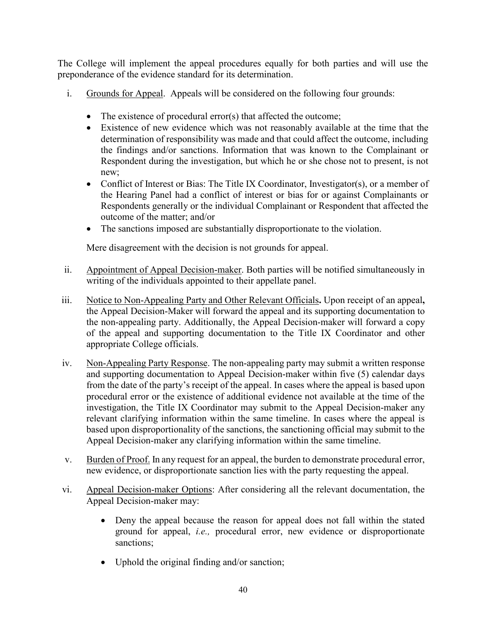The College will implement the appeal procedures equally for both parties and will use the preponderance of the evidence standard for its determination.

- i. Grounds for Appeal. Appeals will be considered on the following four grounds:
	- $\bullet$  The existence of procedural error(s) that affected the outcome;
	- Existence of new evidence which was not reasonably available at the time that the determination of responsibility was made and that could affect the outcome, including the findings and/or sanctions. Information that was known to the Complainant or Respondent during the investigation, but which he or she chose not to present, is not new;
	- Conflict of Interest or Bias: The Title IX Coordinator, Investigator(s), or a member of the Hearing Panel had a conflict of interest or bias for or against Complainants or Respondents generally or the individual Complainant or Respondent that affected the outcome of the matter; and/or
	- The sanctions imposed are substantially disproportionate to the violation.

Mere disagreement with the decision is not grounds for appeal.

- ii. Appointment of Appeal Decision-maker. Both parties will be notified simultaneously in writing of the individuals appointed to their appellate panel.
- iii. Notice to Non-Appealing Party and Other Relevant Officials**.** Upon receipt of an appeal**,**  the Appeal Decision-Maker will forward the appeal and its supporting documentation to the non-appealing party. Additionally, the Appeal Decision-maker will forward a copy of the appeal and supporting documentation to the Title IX Coordinator and other appropriate College officials.
- iv. Non-Appealing Party Response. The non-appealing party may submit a written response and supporting documentation to Appeal Decision-maker within five (5) calendar days from the date of the party's receipt of the appeal. In cases where the appeal is based upon procedural error or the existence of additional evidence not available at the time of the investigation, the Title IX Coordinator may submit to the Appeal Decision-maker any relevant clarifying information within the same timeline. In cases where the appeal is based upon disproportionality of the sanctions, the sanctioning official may submit to the Appeal Decision-maker any clarifying information within the same timeline.
- v. Burden of Proof. In any request for an appeal, the burden to demonstrate procedural error, new evidence, or disproportionate sanction lies with the party requesting the appeal.
- vi. Appeal Decision-maker Options: After considering all the relevant documentation, the Appeal Decision-maker may:
	- Deny the appeal because the reason for appeal does not fall within the stated ground for appeal, *i.e.,* procedural error, new evidence or disproportionate sanctions;
	- Uphold the original finding and/or sanction;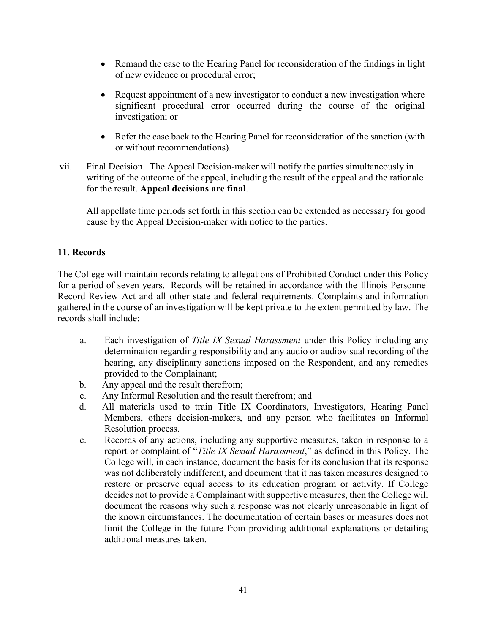- Remand the case to the Hearing Panel for reconsideration of the findings in light of new evidence or procedural error;
- Request appointment of a new investigator to conduct a new investigation where significant procedural error occurred during the course of the original investigation; or
- Refer the case back to the Hearing Panel for reconsideration of the sanction (with or without recommendations).
- vii. Final Decision. The Appeal Decision-maker will notify the parties simultaneously in writing of the outcome of the appeal, including the result of the appeal and the rationale for the result. **Appeal decisions are final**.

All appellate time periods set forth in this section can be extended as necessary for good cause by the Appeal Decision-maker with notice to the parties.

# **11. Records**

The College will maintain records relating to allegations of Prohibited Conduct under this Policy for a period of seven years. Records will be retained in accordance with the Illinois Personnel Record Review Act and all other state and federal requirements. Complaints and information gathered in the course of an investigation will be kept private to the extent permitted by law. The records shall include:

- a. Each investigation of *Title IX Sexual Harassment* under this Policy including any determination regarding responsibility and any audio or audiovisual recording of the hearing, any disciplinary sanctions imposed on the Respondent, and any remedies provided to the Complainant;
- b. Any appeal and the result therefrom;
- c. Any Informal Resolution and the result therefrom; and
- d. All materials used to train Title IX Coordinators, Investigators, Hearing Panel Members, others decision-makers, and any person who facilitates an Informal Resolution process.
- e. Records of any actions, including any supportive measures, taken in response to a report or complaint of "*Title IX Sexual Harassment*," as defined in this Policy. The College will, in each instance, document the basis for its conclusion that its response was not deliberately indifferent, and document that it has taken measures designed to restore or preserve equal access to its education program or activity. If College decides not to provide a Complainant with supportive measures, then the College will document the reasons why such a response was not clearly unreasonable in light of the known circumstances. The documentation of certain bases or measures does not limit the College in the future from providing additional explanations or detailing additional measures taken.